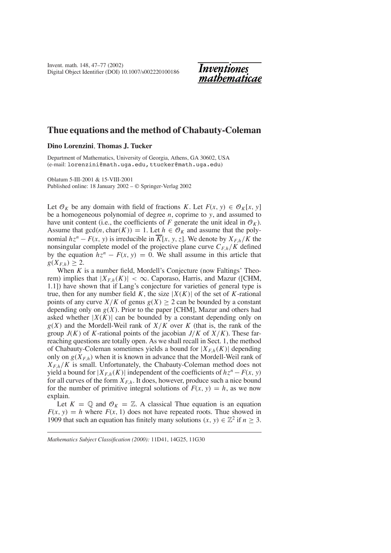

# **Thue equations and the method of Chabauty-Coleman**

# **Dino Lorenzini**,**Thomas J. Tucker**

Department of Mathematics, University of Georgia, Athens, GA 30602, USA (e-mail: lorenzini@math.uga.edu,ttucker@math.uga.edu)

Oblatum 5-III-2001 & 15-VIII-2001 Published online: 18 January 2002 – © Springer-Verlag 2002

Let  $\mathcal{O}_K$  be any domain with field of fractions *K*. Let  $F(x, y) \in \mathcal{O}_K[x, y]$ be a homogeneous polynomial of degree *n*, coprime to *y*, and assumed to have unit content (i.e., the coefficients of *F* generate the unit ideal in  $\mathcal{O}_K$ ). Assume that  $gcd(n, char(K)) = 1$ . Let  $h \in \mathcal{O}_K$  and assume that the polynomial  $hz^n - F(x, y)$  is irreducible in  $\overline{K}[x, y, z]$ . We denote by  $X_{F,h}/K$  the nonsingular complete model of the projective plane curve  $C_{F,h}/K$  defined by the equation  $hz^n - F(x, y) = 0$ . We shall assume in this article that  $g(X_{Fh}) \geq 2.$ 

When *K* is a number field, Mordell's Conjecture (now Faltings' Theorem) implies that  $|X_{F,h}(K)| < \infty$ . Caporaso, Harris, and Mazur ([CHM, 1.1]) have shown that if Lang's conjecture for varieties of general type is true, then for any number field K, the size  $|X(K)|$  of the set of K-rational points of any curve  $X/K$  of genus  $g(X) \ge 2$  can be bounded by a constant depending only on  $g(X)$ . Prior to the paper [CHM], Mazur and others had asked whether  $|X(K)|$  can be bounded by a constant depending only on *g*(*X*) and the Mordell-Weil rank of *X*/*K* over *K* (that is, the rank of the group  $J(K)$  of K-rational points of the jacobian  $J/K$  of  $X/K$ ). These farreaching questions are totally open. As we shall recall in Sect. 1, the method of Chabauty-Coleman sometimes yields a bound for  $|X_{F,h}(K)|$  depending only on  $g(X_{F,h})$  when it is known in advance that the Mordell-Weil rank of  $X_{F,h}/K$  is small. Unfortunately, the Chabauty-Coleman method does not yield a bound for  $|X_{F,h}(K)|$  independent of the coefficients of  $hz^n - F(x, y)$ for all curves of the form  $X_{F,h}$ . It does, however, produce such a nice bound for the number of primitive integral solutions of  $F(x, y) = h$ , as we now explain.

Let  $K = \mathbb{Q}$  and  $\mathcal{O}_K = \mathbb{Z}$ . A classical Thue equation is an equation  $F(x, y) = h$  where  $F(x, 1)$  does not have repeated roots. Thue showed in 1909 that such an equation has finitely many solutions  $(x, y) \in \mathbb{Z}^2$  if  $n \geq 3$ .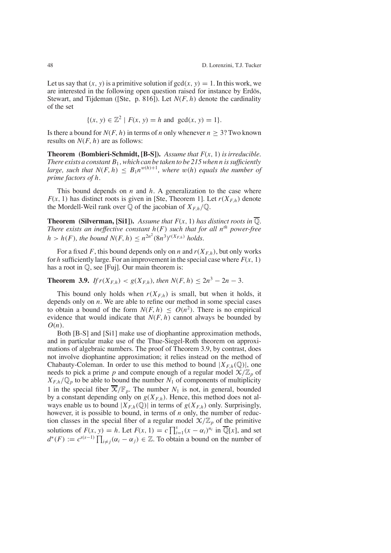Let us say that  $(x, y)$  is a primitive solution if  $gcd(x, y) = 1$ . In this work, we are interested in the following open question raised for instance by Erdös, Stewart, and Tijdeman ([Ste, p. 816]). Let *N*(*F*, *h*) denote the cardinality of the set

$$
\{(x, y) \in \mathbb{Z}^2 \mid F(x, y) = h \text{ and } \gcd(x, y) = 1\}.
$$

Is there a bound for  $N(F, h)$  in terms of *n* only whenever  $n \geq 3$ ? Two known results on *N*(*F*, *h*) are as follows:

**Theorem (Bombieri-Schmidt, [B-S]).** *Assume that F*(*x*, 1) *isirreducible. There exists a constant B*<sup>1</sup> *,which can be taken to be 215when n issufficiently large, such that*  $N(F, h) \leq B_1 n^{w(h)+1}$ *, where*  $w(h)$  *equals the number of prime factors of h.*

This bound depends on *n* and *h*. A generalization to the case where  $F(x, 1)$  has distinct roots is given in [Ste, Theorem 1]. Let  $r(X_{F,h})$  denote the Mordell-Weil rank over  $\mathbb Q$  of the jacobian of  $X_{F,h}/\mathbb Q$ .

**Theorem** (Silverman, [Si1]). Assume that  $F(x, 1)$  has distinct roots in  $\overline{Q}$ . *There exists an ineffective constant h*(*F*) *such that for all nth power-free h* > *h*(*F*)*, the bound*  $N(F, h) \leq n^{2n^2} (8n^3)^{r(X_{F,h})}$  *holds.* 

For a fixed F, this bound depends only on *n* and  $r(X_{F,h})$ , but only works for *h* sufficiently large. For an improvement in the special case where  $F(x, 1)$ has a root in Q, see [Fuj]. Our main theorem is:

# **Theorem 3.9.** *If*  $r(X_{F,h}) < g(X_{F,h})$ , *then*  $N(F, h) \le 2n^3 - 2n - 3$ .

This bound only holds when  $r(X_{F,h})$  is small, but when it holds, it depends only on *n*. We are able to refine our method in some special cases to obtain a bound of the form  $N(F, h) \leq O(n^2)$ . There is no empirical evidence that would indicate that  $N(F, h)$  cannot always be bounded by *O*(*n*).

Both [B-S] and [Si1] make use of diophantine approximation methods, and in particular make use of the Thue-Siegel-Roth theorem on approximations of algebraic numbers. The proof of Theorem 3.9, by contrast, does not involve diophantine approximation; it relies instead on the method of Chabauty-Coleman. In order to use this method to bound  $|X_{F,h}(\mathbb{Q})|$ , one needs to pick a prime p and compute enough of a regular model  $\mathcal{X}/\mathbb{Z}_p$  of  $X_{F,h}/\mathbb{Q}_p$  to be able to bound the number  $N_1$  of components of multiplicity 1 in the special fiber  $\overline{X}/\mathbb{F}_p$ . The number  $N_1$  is not, in general, bounded by a constant depending only on  $g(X_{F,h})$ . Hence, this method does not always enable us to bound  $|X_{F,h}(\mathbb{Q})|$  in terms of  $g(X_{F,h})$  only. Surprisingly, however, it is possible to bound, in terms of *n* only, the number of reduction classes in the special fiber of a regular model  $\mathcal{X}/\mathbb{Z}_p$  of the primitive solutions of  $F(x, y) = h$ . Let  $F(x, 1) = c \prod_{i=1}^{s} (x - \alpha_i)^{n_i}$  in  $\overline{\mathbb{Q}}[x]$ , and set  $d^*(F) := c^{s(s-1)} \prod_{i \neq j} (\alpha_i - \alpha_j) \in \mathbb{Z}$ . To obtain a bound on the number of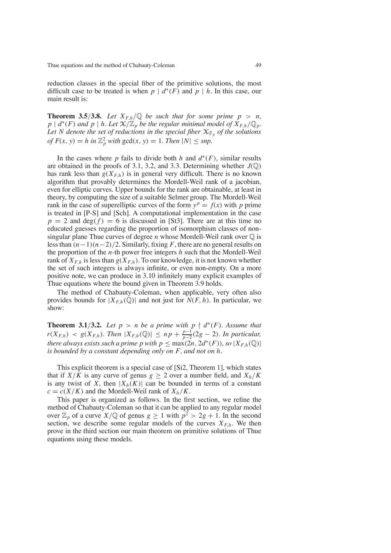reduction classes in the special fiber of the primitive solutions, the most difficult case to be treated is when  $p \mid d^*(F)$  and  $p \mid h$ . In this case, our main result is:

**Theorem 3.5/3.8.** Let  $X_{F,h}/\mathbb{Q}$  be such that for some prime  $p > n$ , *p*  $\mid d^*(F)$  *and p*  $\mid h$ . Let  $\mathfrak{X}/\mathbb{Z}_p$  *be the regular minimal model of*  $\overline{X}_{F,h}/\mathbb{Q}_p$ *.* Let *N* denote the set of reductions in the special fiber  $X_{\mathbb{F}_p}$  of the solutions  $of F(x, y) = h$  *in*  $\mathbb{Z}_p^2$  *with*  $gcd(x, y) = 1$ *. Then*  $|N| \leq snp$ *.* 

In the cases where *p* fails to divide both *h* and  $d^*(F)$ , similar results are obtained in the proofs of 3.1, 3.2, and 3.3. Determining whether  $J(\mathbb{Q})$ has rank less than  $g(X_{F,h})$  is in general very difficult. There is no known algorithm that provably determines the Mordell-Weil rank of a jacobian, even for elliptic curves. Upper bounds for the rank are obtainable, at least in theory, by computing the size of a suitable Selmer group. The Mordell-Weil rank in the case of superelliptic curves of the form  $y^p = f(x)$  with *p* prime is treated in [P-S] and [Sch]. A computational implementation in the case  $p = 2$  and deg( $f$ ) = 6 is discussed in [St3]. There are at this time no educated guesses regarding the proportion of isomorphism classes of nonsingular plane Thue curves of degree *n* whose Mordell-Weil rank over  $\mathbb{Q}$  is lessthan (*n*−1)(*n*−2)/2. Similarly, fixing *F*, there are no general results on the proportion of the *n*-th power free integers *h* such that the Mordell-Weil rank of  $X_{F,h}$  is less than  $g(X_{F,h})$ . To our knowledge, it is not known whether the set of such integers is always infinite, or even non-empty. On a more positive note, we can produce in 3.10 infinitely many explicit examples of Thue equations where the bound given in Theorem 3.9 holds.

The method of Chabauty-Coleman, when applicable, very often also provides bounds for  $|X_{F,h}(\mathbb{Q})|$  and not just for  $N(F, h)$ . In particular, we show:

**Theorem 3.1/3.2.** Let  $p > n$  be a prime with  $p \nmid d^*(F)$ . Assume that  $r(X_{F,h}) \leq g(X_{F,h})$ . *Then*  $|X_{F,h}(\mathbb{Q})| \leq np + \frac{p-1}{p-2}(2g-2)$ . *In particular, there always exists such a prime p with*  $p \leq max(2n, 2d^*(F))$ *, so*  $|X_{F,h}(\mathbb{Q})|$ *is bounded by a constant depending only on F, and not on h.*

This explicit theorem is a special case of [Si2, Theorem 1], which states that if  $X/K$  is any curve of genus  $g \geq 2$  over a number field, and  $X_h/K$ is any twist of *X*, then  $|X_h(K)|$  can be bounded in terms of a constant  $c = c(X/K)$  and the Mordell-Weil rank of  $X_h/K$ .

This paper is organized as follows. In the first section, we refine the method of Chabauty-Coleman so that it can be applied to any regular model over  $\mathbb{Z}_p$  of a curve  $X/\mathbb{Q}$  of genus  $g \ge 1$  with  $p^2 > 2g + 1$ . In the second section, we describe some regular models of the curves  $X_{F,h}$ . We then prove in the third section our main theorem on primitive solutions of Thue equations using these models.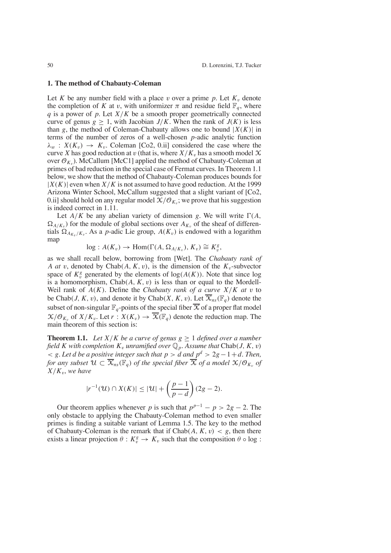#### **1. The method of Chabauty-Coleman**

Let *K* be any number field with a place v over a prime  $p$ . Let  $K_v$  denote the completion of *K* at v, with uniformizer  $\pi$  and residue field  $\mathbb{F}_q$ , where *q* is a power of *p*. Let *X*/*K* be a smooth proper geometrically connected curve of genus  $g \ge 1$ , with Jacobian  $J/K$ . When the rank of  $J(K)$  is less than *g*, the method of Coleman-Chabauty allows one to bound  $|X(K)|$  in terms of the number of zeros of a well-chosen *p*-adic analytic function  $\lambda_w$  :  $X(K_v) \rightarrow K_v$ . Coleman [Co2, 0.ii] considered the case where the curve *X* has good reduction at v (that is, where  $X/K_v$  has a smooth model  $X$ over  $\mathcal{O}_{K_v}$ ). McCallum [McC1] applied the method of Chabauty-Coleman at primes of bad reduction in the special case of Fermat curves. In Theorem 1.1 below, we show that the method of Chabauty-Coleman produces bounds for  $|X(K)|$  even when  $X/K$  is not assumed to have good reduction. At the 1999 Arizona Winter School, McCallum suggested that a slight variant of [Co2, 0.ii] should hold on any regular model  $X/O_{K_v}$ ; we prove that his suggestion is indeed correct in 1.11.

Let  $A/K$  be any abelian variety of dimension *g*. We will write  $\Gamma(A)$ ,  $\Omega_{A/K_v}$ ) for the module of global sections over  $A_{K_v}$  of the sheaf of differentials  $\Omega_{A_{K_v}/K_v}$ . As a *p*-adic Lie group,  $A(K_v)$  is endowed with a logarithm map

$$
\log: A(K_v) \to \text{Hom}(\Gamma(A, \Omega_{A/K_v}), K_v) \cong K_v^g,
$$

as we shall recall below, borrowing from [Wet]. The *Chabauty rank of A at v*, denoted by Chab(*A*, *K*, *v*), is the dimension of the  $K_v$ -subvector space of  $K_v^g$  generated by the elements of  $log(A(K))$ . Note that since log is a homomorphism,  $Chab(A, K, v)$  is less than or equal to the Mordell-Weil rank of  $A(K)$ . Define the *Chabauty rank of a curve*  $X/K$  *at v* to be Chab(*J*, *K*, *v*), and denote it by Chab(*X*, *K*, *v*). Let  $\overline{X}_{ns}(\mathbb{F}_{q})$  denote the subset of non-singular  $\mathbb{F}_q$ -points of the special fiber  $\overline{X}$  of a proper flat model  $X/\mathcal{O}_{K_v}$  of  $X/K_v$ . Let  $r: X(K_v) \to \overline{X}(\mathbb{F}_q)$  denote the reduction map. The main theorem of this section is:

**Theorem 1.1.** Let  $X/K$  be a curve of genus  $g \geq 1$  defined over a number *field K* with completion  $K_v$  *unramified over*  $\mathbb{Q}_p$ *. Assume that* Chab(*J*, *K*, *v*)  $\leq$  *g.* Let *d* be a positive integer such that  $p > d$  and  $p^d > 2g - 1 + d$ . Then, *for* any subset  $\mathcal{U} \subset \overline{\mathcal{X}}_{ns}(\mathbb{F}_q)$  *of the special fiber*  $\overline{\mathcal{X}}$  *of a model*  $\mathcal{X}/\mathcal{O}_{K_p}$  *of*  $X/K_v$ , we have

$$
|r^{-1}(\mathcal{U}) \cap X(K)| \leq |\mathcal{U}| + \left(\frac{p-1}{p-d}\right)(2g-2).
$$

Our theorem applies whenever *p* is such that  $p^{p-1} - p > 2g - 2$ . The only obstacle to applying the Chabauty-Coleman method to even smaller primes is finding a suitable variant of Lemma 1.5. The key to the method of Chabauty-Coleman is the remark that if  $Chab(A, K, v) < g$ , then there exists a linear projection  $\theta: K_v^g \to K_v$  such that the composition  $\theta \circ \log$ :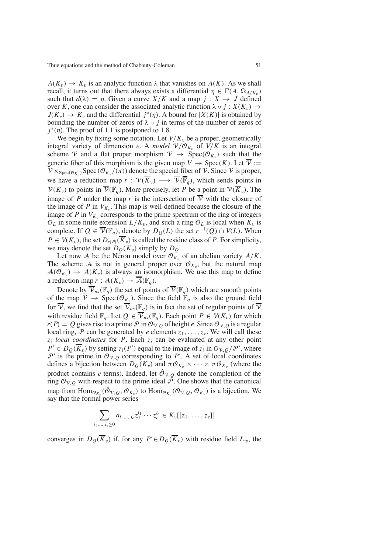$A(K_v) \to K_v$  is an analytic function  $\lambda$  that vanishes on  $A(K)$ . As we shall recall, it turns out that there always exists a differential  $\eta \in \Gamma(A, \Omega_{A/K_v})$ such that  $d(\lambda) = \eta$ . Given a curve  $X/K$  and a map  $j : X \to J$  defined over *K*, one can consider the associated analytic function  $\lambda \circ j : X(K_v) \to Y$  $J(K_v) \to K_v$  and the differential  $j^*(\eta)$ . A bound for  $|X(K)|$  is obtained by bounding the number of zeros of  $\lambda \circ j$  in terms of the number of zeros of  $j^*(\eta)$ . The proof of 1.1 is postponed to 1.8.

We begin by fixing some notation. Let  $V/K_v$  be a proper, geometrically integral variety of dimension *e*. A *model*  $V/O_{K_v}$  of  $V/K$  is an integral scheme V and a flat proper morphism  $V \rightarrow Spec(\mathcal{O}_{K_v})$  such that the generic fiber of this morphism is the given map  $V \to \text{Spec}(K)$ . Let  $\overline{V} :=$  $V \times_{Spec(\mathcal{O}_{K_v})} Spec(\mathcal{O}_{K_v}/(\pi))$  denote the special fiber of  $V$ . Since V is proper, we have a reduction map  $r : \mathcal{V}(\overline{K}_v) \longrightarrow \overline{\mathcal{V}}(\overline{\mathbb{F}}_q)$ , which sends points in  $V(K_v)$  to points in  $\overline{V}(\mathbb{F}_q)$ . More precisely, let *P* be a point in  $V(\overline{K}_v)$ . The image of *P* under the map *r* is the intersection of  $\overline{V}$  with the closure of the image of *P* in  $V_{K_v}$ . This map is well-defined because the closure of the image of  $P$  in  $V_{K_v}$  corresponds to the prime spectrum of the ring of integers  $\mathcal{O}_L$  in some finite extension  $L/K_v$ , and such a ring  $\mathcal{O}_L$  is local when  $\tilde{K_v}$  is complete. If  $Q \in \overline{\mathcal{V}}(\mathbb{F}_q)$ , denote by  $D_O(L)$  the set  $r^{-1}(Q) \cap V(L)$ . When  $P \in V(K_v)$ , the set  $D_{r(P)}(\overline{K}_v)$  is called the residue class of *P*. For simplicity, we may denote the set  $D_{\Omega}(K_v)$  simply by  $D_{\Omega}$ .

Let now A be the Neron model over  $\mathcal{O}_{K_v}$  of an abelian variety  $A/K$ . The scheme A is not in general proper over  $\mathcal{O}_{K_v}$ , but the natural map  $A(\mathcal{O}_{K_v}) \rightarrow A(K_v)$  is always an isomorphism. We use this map to define a reduction map  $r : \mathcal{A}(K_v) \to \overline{\mathcal{A}}(\mathbb{F}_q)$ .

Denote by  $\overline{\mathcal{V}}_{ns}(\mathbb{F}_q)$  the set of points of  $\overline{\mathcal{V}}(\mathbb{F}_q)$  which are smooth points of the map  $V \to \text{Spec}(\mathcal{O}_{K_v})$ . Since the field  $\mathbb{F}_q$  is also the ground field for  $\overline{V}$ , we find that the set  $\overline{V}_{ns}(\mathbb{F}_q)$  is in fact the set of regular points of  $\overline{V}$ with residue field  $\mathbb{F}_q$ . Let  $Q \in \overline{\mathcal{V}}_{ns}(\mathbb{F}_q)$ . Each point  $P \in V(K_v)$  for which  $r(P) = Q$  gives rise to a prime  $P \text{ in } \mathcal{O}_{V,Q}$  of height *e*. Since  $\mathcal{O}_{V,Q}$  is a regular local ring,  $\mathcal P$  can be generated by *e* elements  $z_1, \ldots, z_e$ . We will call these  $z_i$  *local coordinates* for *P*. Each  $z_i$  can be evaluated at any other point  $P' \in D_Q(K_v)$  by setting  $z_i(P')$  equal to the image of  $z_i$  in  $\mathcal{O}_{V,Q}/\mathcal{P}'$ , where  $\mathcal{P}'$  is the prime in  $\mathcal{O}_{V,Q}$  corresponding to P'. A set of local coordinates defines a bijection between  $D_O(K_v)$  and  $\pi \mathcal{O}_{K_v} \times \cdots \times \pi \mathcal{O}_{K_v}$  (where the product contains *e* terms). Indeed, let  $\hat{\mathcal{O}}_{V,\Omega}$  denote the completion of the ring  $\mathcal{O}_{V,O}$  with respect to the prime ideal  $\tilde{\mathcal{P}}$ . One shows that the canonical map from  $\text{Hom}_{\mathcal{O}_{K_v}}(\hat{\mathcal{O}}_{\mathcal{V},Q}, \mathcal{O}_{K_v})$  to  $\text{Hom}_{\mathcal{O}_{K_v}}(\mathcal{O}_{\mathcal{V},Q}, \mathcal{O}_{K_v})$  is a bijection. We say that the formal power series

$$
\sum_{i_1,\dots,i_e\geq 0} a_{i_1,\dots,i_e} z_1^{i_1}\cdots z_e^{i_e} \in K_v[[z_1,\dots,z_e]]
$$

converges in  $D_Q(K_v)$  if, for any  $P' \in D_Q(K_v)$  with residue field  $L_w$ , the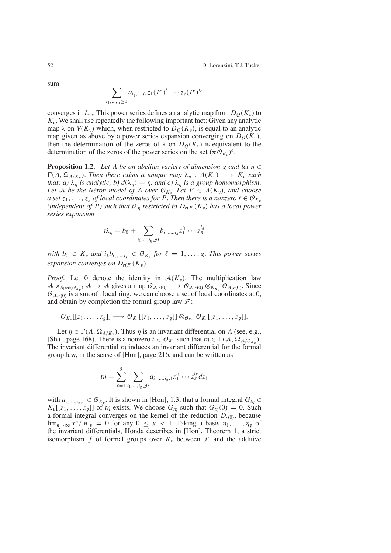$\sum$ *i*1,...,*ie*≥0  $a_{i_1,...,i_e}z_1(P')^{i_1}\cdots z_e(P')^{i_e}$ 

converges in  $L_w$ . This power series defines an analytic map from  $D_Q(K_v)$  to  $K<sub>v</sub>$ . We shall use repeatedly the following important fact: Given any analytic map  $\lambda$  on  $V(K_v)$  which, when restricted to  $D_O(K_v)$ , is equal to an analytic map given as above by a power series expansion converging on  $D<sub>O</sub>(K<sub>v</sub>)$ , then the determination of the zeros of  $\lambda$  on  $D<sub>O</sub>(K<sub>v</sub>)$  is equivalent to the determination of the zeros of the power series on the set  $(\pi \mathcal{O}_{K_v})^e$ .

**Proposition 1.2.** *Let A be an abelian variety of dimension g and let*  $\eta \in$  $\Gamma(A, \Omega_{A/K_v})$ *. Then there exists a unique map*  $\lambda_n : A(K_v) \longrightarrow K_v$  *such that: a)*  $\lambda_n$  *is analytic, b)*  $d(\lambda_n) = \eta$ *, and c)*  $\lambda_n$  *is a group homomorphism. Let* A *be the Néron model of A over*  $\mathcal{O}_{K_v}$ *. Let*  $P \in A(K_v)$ *, and choose a set*  $z_1, \ldots, z_g$  *of local coordinates for P. Then there is a nonzero*  $t \in \mathcal{O}_{K_v}$ *(independent of P) such that*  $t\lambda_n$  *restricted to*  $D_{r(P)}(K_v)$  *has a local power series expansion*

$$
t\lambda_{\eta} = b_0 + \sum_{i_1, ..., i_g \ge 0} b_{i_1, ..., i_g} z_1^{i_1} \cdots z_g^{i_g}
$$

*with*  $b_0 \in K_v$  *and*  $i_{\ell}b_{i_1,\dots,i_g} \in \mathcal{O}_{K_v}$  *for*  $\ell = 1,\dots,g$ . *This power series expansion converges on*  $D_{r(P)}(\overline{K}_v)$ .

*Proof.* Let 0 denote the identity in  $A(K_v)$ . The multiplication law  $A \times_{Spec(\mathcal{O}_{K_v})} A \rightarrow A$  gives a map  $\mathcal{O}_{A,r(0)} \rightarrow \mathcal{O}_{A,r(0)} \otimes_{\mathcal{O}_{K_v}} \mathcal{O}_{A,r(0)}$ . Since  $\mathcal{O}_{A, r(0)}$  is a smooth local ring, we can choose a set of local coordinates at 0, and obtain by completion the formal group law  $\mathcal{F}$ :

$$
\mathcal{O}_{K_v}[[z_1,\ldots,z_g]]\longrightarrow \mathcal{O}_{K_v}[[z_1,\ldots,z_g]]\otimes_{\mathcal{O}_{K_v}}\mathcal{O}_{K_v}[[z_1,\ldots,z_g]].
$$

Let  $\eta \in \Gamma(A, \Omega_{A/K_v})$ . Thus  $\eta$  is an invariant differential on A (see, e.g., [Sha], page 168). There is a nonzero  $t \in \mathcal{O}_{K_v}$  such that  $t\eta \in \Gamma(\mathcal{A}, \Omega_{\mathcal{A}/\mathcal{O}_{K_v}})$ . The invariant differential *t*η induces an invariant differential for the formal group law, in the sense of [Hon], page 216, and can be written as

$$
t\eta = \sum_{\ell=1}^{g} \sum_{i_1,\dots,i_g \ge 0} a_{i_1,\dots,i_g,\ell} z_1^{i_1} \cdots z_g^{i_g} dz_{\ell}
$$

with  $a_{i_1,\dots,i_n,\ell} \in \mathcal{O}_{K_n}$ . It is shown in [Hon], 1.3, that a formal integral  $G_{t_n} \in$  $K_v[[z_1, \ldots, z_g]]$  of *t* $\eta$  exists. We choose  $G_{t\eta}$  such that  $G_{t\eta}(0) = 0$ . Such a formal integral converges on the kernel of the reduction  $D_{r(0)}$ , because  $\lim_{n\to\infty} x^n/|n|_v = 0$  for any  $0 \le x < 1$ . Taking a basis  $\eta_1, \ldots, \eta_g$  of the invariant differentials, Honda describes in [Hon], Theorem 1, a strict isomorphism f of formal groups over  $K_v$  between  $\mathcal F$  and the additive

sum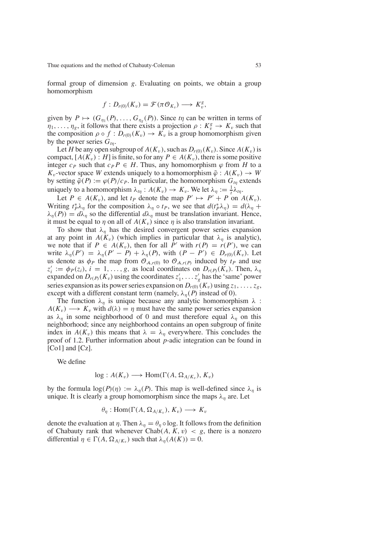formal group of dimension *g*. Evaluating on points, we obtain a group homomorphism

$$
f: D_{r(0)}(K_v) = \mathcal{F}(\pi \mathcal{O}_{K_v}) \longrightarrow K_v^g,
$$

given by  $P \mapsto (G_{\eta_1}(P), \ldots, G_{\eta_g}(P))$ . Since  $t\eta$  can be written in terms of  $\eta_1, \ldots, \eta_g$ , it follows that there exists a projection  $\rho: K_v^g \to K_v$  such that the composition  $\rho \circ f : D_{r(0)}(K_v) \to K_v$  is a group homomorphism given by the power series  $G_{tn}$ .

Let *H* be any open subgroup of  $A(K_v)$ , such as  $D_{r(0)}(K_v)$ . Since  $A(K_v)$  is compact,  $[A(K_v): H]$  is finite, so for any  $P \in A(K_v)$ , there is some positive integer  $c_P$  such that  $c_P P \in H$ . Thus, any homomorphism  $\varphi$  from *H* to a *K*<sub>v</sub>-vector space *W* extends uniquely to a homomorphism  $\tilde{\varphi}: A(K_v) \to W$ by setting  $\tilde{\varphi}(P) := \varphi(P)/c_P$ . In particular, the homomorphism  $G_{t\eta}$  extends uniquely to a homomorphism  $\lambda_{t\eta}: A(K_v) \to K_v$ . We let  $\lambda_{\eta} := \frac{1}{t} \lambda_{t\eta}$ .

Let  $P \in A(K_v)$ , and let  $t_P$  denote the map  $P' \mapsto P' + P$  on  $A(K_v)$ . Writing  $t_p^*\lambda_\eta$  for the composition  $\lambda_\eta \circ t_p$ , we see that  $d(t_p^*\lambda_\eta) = d(\lambda_\eta +$  $\lambda_n(P) = d\lambda_n$  so the differential  $d\lambda_n$  must be translation invariant. Hence, it must be equal to  $\eta$  on all of  $A(K_v)$  since  $\eta$  is also translation invariant.

To show that  $\lambda_n$  has the desired convergent power series expansion at any point in  $A(K_v)$  (which implies in particular that  $\lambda_n$  is analytic), we note that if  $P \in A(K_v)$ , then for all  $P'$  with  $r(P) = r(P')$ , we can write  $\lambda_{\eta}(P') = \lambda_{\eta}(P' - P) + \lambda_{\eta}(P)$ , with  $(P - P') \in D_{r(0)}(K_v)$ . Let us denote as  $\phi_P$  the map from  $\mathcal{O}_{A,r(0)}$  to  $\mathcal{O}_{A,r(P)}$  induced by  $t_P$  and use  $z'_i := \phi_P(z_i)$ ,  $i = 1, \ldots, g$ , as local coordinates on  $D_{r(P)}(K_v)$ . Then,  $\lambda_{r_i}$ expanded on  $D_{r(P)}(K_v)$  using the coordinates  $z'_1, \ldots z'_g$  has the 'same' power series expansion as its power series expansion on  $D_{r(0)}(K_v)$  using  $z_1, \ldots, z_g$ , except with a different constant term (namely,  $\lambda_n(P)$  instead of 0).

The function  $\lambda_n$  is unique because any analytic homomorphism  $\lambda$  :  $A(K_v) \longrightarrow K_v$  with  $d(\lambda) = \eta$  must have the same power series expansion as  $\lambda_n$  in some neighborhood of 0 and must therefore equal  $\lambda_n$  on this neighborhood; since any neighborhood contains an open subgroup of finite index in  $A(K_v)$  this means that  $\lambda = \lambda_n$  everywhere. This concludes the proof of 1.2. Further information about *p*-adic integration can be found in [Co1] and [Cz].

We define

$$
\log: A(K_v) \longrightarrow \text{Hom}(\Gamma(A, \Omega_{A/K_v}), K_v)
$$

by the formula  $\log(P)(\eta) := \lambda_n(P)$ . This map is well-defined since  $\lambda_n$  is unique. It is clearly a group homomorphism since the maps  $\lambda_n$  are. Let

$$
\theta_{\eta}: \text{Hom}(\Gamma(A, \Omega_{A/K_v}), K_v) \longrightarrow K_v
$$

denote the evaluation at  $\eta$ . Then  $\lambda_{\eta} = \theta_{\eta} \circ \log$ . It follows from the definition of Chabauty rank that whenever  $Chab(A, K, v) < g$ , there is a nonzero differential  $\eta \in \Gamma(A, \Omega_{A/K_v})$  such that  $\lambda_{\eta}(A(K)) = 0$ .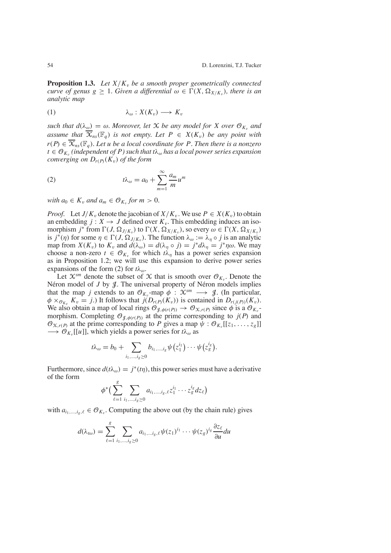**Proposition 1.3.** Let  $X/K_v$  be a smooth proper geometrically connected *curve of genus*  $g \geq 1$ *. Given a differential*  $\omega \in \Gamma(X, \Omega_{X/K_v})$ *, there is an analytic map*

$$
\lambda_{\omega}: X(K_{v}) \longrightarrow K_{v}
$$

*such that*  $d(\lambda_{\omega}) = \omega$ *. Moreover, let X be any model for X over*  $\mathcal{O}_{K_v}$  *and assume that*  $\overline{X}_{ns}(\mathbb{F}_q)$  *is not empty. Let*  $P \in X(K_v)$  *be any point with*  $r(P) \in \overline{\mathcal{X}}_{ns}(\mathbb{F}_q)$ . Let *u be a local coordinate for P*. Then *there is a nonzero*  $t \in \mathcal{O}_{K_v}$  *(independent of P) such that*  $t\lambda_\omega$  *has a local power series expansion converging on*  $D_{r(P)}(K_v)$  *of the form* 

(2) 
$$
t\lambda_{\omega} = a_0 + \sum_{m=1}^{\infty} \frac{a_m}{m} u^m
$$

*with*  $a_0 \in K_v$  *and*  $a_m \in \mathcal{O}_{K_v}$  *for*  $m > 0$ *.* 

*Proof.* Let *J*/*K<sub>v</sub>* denote the jacobian of  $X/K_v$ . We use  $P \in X(K_v)$  to obtain an embedding  $j: X \to J$  defined over  $K_v$ . This embedding induces an isomorphism *j*<sup>\*</sup> from  $\Gamma(J, \Omega_{J/K_v})$  to  $\Gamma(X, \Omega_{X/K_v})$ , so every  $\omega \in \Gamma(X, \Omega_{X/K_v})$ is  $j^*(\eta)$  for some  $\eta \in \Gamma(J, \Omega_{J/K_v})$ . The function  $\lambda_\omega := \lambda_\eta \circ j$  is an analytic map from  $X(K_v)$  to  $K_v$  and  $d(\lambda_\omega) = d(\lambda_\eta \circ j) = j^* d\lambda_\eta = j^* \eta \omega$ . We may choose a non-zero  $t \in \mathcal{O}_K$  for which  $t\lambda_n$  has a power series expansion as in Proposition 1.2; we will use this expansion to derive power series expansions of the form (2) for  $t\lambda_{\omega}$ .

Let  $\mathcal{X}^{sm}$  denote the subset of  $\mathcal X$  that is smooth over  $\mathcal{O}_{K_v}$ . Denote the Néron model of  $J$  by  $J$ . The universal property of Néron models implies that the map *j* extends to an  $\mathcal{O}_{K_v}$ -map  $\phi$  :  $\mathcal{X}^{sm} \longrightarrow \mathcal{J}$ . (In particular,  $\phi \times_{\mathcal{O}_{K_v}} K_v = j$ .) It follows that  $j(D_{r(P)}(K_v))$  is contained in  $D_{r(i(P))}(K_v)$ . We also obtain a map of local rings  $\mathcal{O}_{q, \phi(r(P))} \to \mathcal{O}_{\mathfrak{X}, r(P)}$  since  $\phi$  is a  $\mathcal{O}_{K_v}$ morphism. Completing  $\mathcal{O}_{\mathcal{J},\phi(r(P))}$  at the prime corresponding to  $j(P)$  and  $\mathcal{O}_{X,r(P)}$  at the prime corresponding to *P* gives a map  $\psi : \mathcal{O}_{K_v}[[z_1, \ldots, z_g]]$  $\longrightarrow$   $\mathcal{O}_{K_v}[[u]]$ , which yields a power series for  $t\lambda_\omega$  as

$$
t\lambda_{\omega}=b_0+\sum_{i_1,\dots,i_g\geq 0}b_{i_1,\dots,i_g}\psi(z_1^{i_1})\cdots\psi(z_g^{i_g}).
$$

Furthermore, since  $d(t\lambda_{\omega}) = j^*(t\eta)$ , this power series must have a derivative of the form *g*

$$
\phi^*(\sum_{\ell=1}^{\infty}\sum_{i_1,\dots,i_g\geq 0}a_{i_1,\dots,i_g,\ell}z_1^{i_1}\cdots z_g^{i_g}dz_{\ell})
$$

with  $a_{i_1,...,i_g,\ell} \in \mathcal{O}_{K_v}$ . Computing the above out (by the chain rule) gives

$$
d(\lambda_{t\omega})=\sum_{\ell=1}^g\sum_{i_1,\dots,i_g\geq 0}a_{i_1,\dots,i_g,\ell}\psi(z_1)^{i_1}\cdots\psi(z_g)^{i_g}\frac{\partial z_\ell}{\partial u}du
$$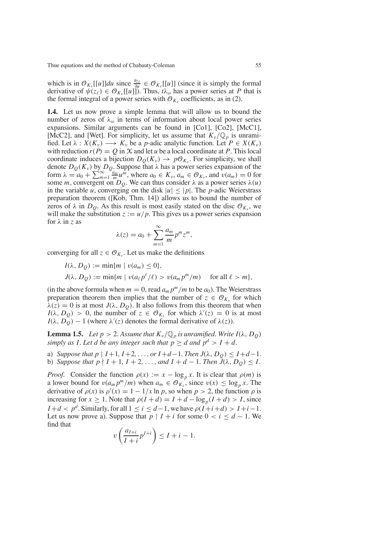which is in  $\mathcal{O}_{K_v}[[u]]du$  since  $\frac{\partial z_\ell}{\partial u} \in \mathcal{O}_{K_v}[[u]]$  (since it is simply the formal derivative of  $\psi(z_\ell) \in \mathcal{O}_{K_v}[[u]]$ ). Thus,  $t\lambda_\omega$  has a power series at *P* that is the formal integral of a power series with  $\mathcal{O}_{K_v}$  coefficients, as in (2).

**1.4.** Let us now prove a simple lemma that will allow us to bound the number of zeros of  $\lambda_{\omega}$  in terms of information about local power series expansions. Similar arguments can be found in [Co1], [Co2], [McC1], [McC2], and [Wet]. For simplicity, let us assume that  $K_v/\mathbb{Q}_p$  is unramified. Let  $\lambda$  :  $X(K_v) \longrightarrow K_v$  be a *p*-adic analytic function. Let  $P \in X(K_v)$ with reduction  $r(P) = Q$  in X and let *u* be a local coordinate at *P*. This local coordinate induces a bijection  $D_O(K_v) \to pO_{K_v}$ . For simplicity, we shall denote  $D<sub>O</sub>(K<sub>v</sub>)$  by  $D<sub>O</sub>$ . Suppose that  $\lambda$  has a power series expansion of the form  $\lambda = a_0 + \sum_{m=1}^{\infty} \frac{a_m}{m} u^m$ , where  $a_0 \in K_v$ ,  $a_m \in \mathcal{O}_{K_v}$ , and  $v(a_m) = 0$  for some *m*, convergent on  $D_Q$ . We can thus consider  $\lambda$  as a power series  $\lambda(u)$ in the variable *u*, converging on the disk  $|u| \leq |p|$ . The *p*-adic Weierstrass preparation theorem ([Kob, Thm. 14]) allows us to bound the number of zeros of  $\lambda$  in  $D_Q$ . As this result is most easily stated on the disc  $\mathcal{O}_{K_v}$ , we will make the substitution  $z := u/p$ . This gives us a power series expansion for λ in *z* as

$$
\lambda(z) = a_0 + \sum_{m=1}^{\infty} \frac{a_m}{m} p^m z^m,
$$

converging for all  $z \in \mathcal{O}_{K_v}$ . Let us make the definitions

$$
I(\lambda, D_Q) := \min\{m \mid v(a_m) \le 0\},
$$
  
\n
$$
J(\lambda, D_Q) := \min\{m \mid v(a_\ell p^\ell/\ell) > v(a_m p^m/m) \quad \text{for all } \ell > m\},
$$

(in the above formula when  $m = 0$ , read  $a_m p^m/m$  to be  $a_0$ ). The Weierstrass preparation theorem then implies that the number of  $z \in \mathcal{O}_{K_v}$  for which  $\lambda(z) = 0$  is at most  $J(\lambda, D_0)$ . It also follows from this theorem that when  $I(\lambda, D_Q) > 0$ , the number of  $z \in \mathcal{O}_{K_v}$  for which  $\lambda'(z) = 0$  is at most  $I(\lambda, D_Q) - 1$  (where  $\lambda'(z)$  denotes the formal derivative of  $\lambda(z)$ ).

**Lemma 1.5.** *Let*  $p > 2$ . Assume that  $K_v/\mathbb{Q}_p$  is unramified. Write  $I(\lambda, D_Q)$ *simply* as *I*. Let *d be* any *integer such* that  $p \ge d$  *and*  $p^d > I + d$ .

a) *Suppose that*  $p \mid I+1, I+2, \ldots$ , *or*  $I+d-1$ *. Then*  $J(\lambda, D_0) \leq I+d-1$ *.* b) *Suppose that*  $p \nmid I + 1, I + 2, \ldots$ , and  $I + d - 1$ . Then  $\tilde{J}(\lambda, D_0) \leq I$ .

*Proof.* Consider the function  $\rho(x) := x - \log_p x$ . It is clear that  $\rho(m)$  is a lower bound for  $v(a_m p^m/m)$  when  $a_m \in \mathcal{O}_{K_v}$ , since  $v(x) \leq \log_p x$ . The derivative of  $\rho(x)$  is  $\rho'(x) = 1 - 1/x \ln p$ , so when  $p > 2$ , the function  $\rho$  is increasing for  $x \ge 1$ . Note that  $\rho(I + d) = I + d - \log_{p}(I + d) > I$ , since *I* + *d* <  $p^d$ . Similarly, for all  $1 \le i \le d-1$ , we have  $\rho(I+i+d) > I+i-1$ . Let us now prove a). Suppose that  $p \mid I + i$  for some  $0 < i \leq d - 1$ . We find that

$$
v\left(\frac{a_{I+i}}{I+i}p^{I+i}\right) \leq I+i-1.
$$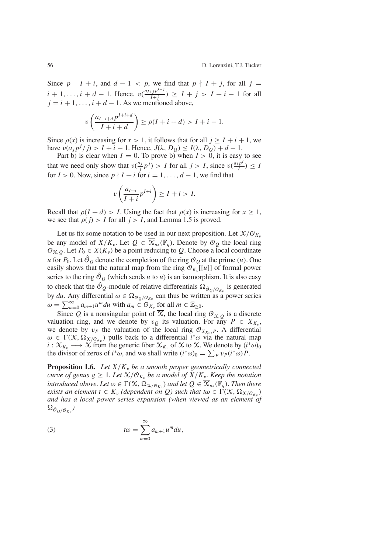Since  $p \mid I + i$ , and  $d - 1 < p$ , we find that  $p \nmid I + j$ , for all  $j =$  $i + 1, \ldots, i + d - 1$ . Hence,  $v\left(\frac{a_{i+j}p^{l+j}}{l+j}\right) \geq I + j > I + i - 1$  for all  $j = i + 1, \ldots, i + d - 1$ . As we mentioned above,

$$
v\left(\frac{a_{I+i+d}p^{I+i+d}}{I+i+d}\right) \ge \rho(I+i+d) > I+i-1.
$$

Since  $\rho(x)$  is increasing for  $x > 1$ , it follows that for all  $j > I + i + 1$ , we have  $v(a_j p^j / j) > I + i - 1$ . Hence,  $J(\lambda, D_Q) \le I(\lambda, D_Q) + d - 1$ .

Part b) is clear when  $I = 0$ . To prove b) when  $I > 0$ , it is easy to see that we need only show that  $v(\frac{a_j}{j}p^j) > I$  for all  $j > I$ , since  $v(\frac{a_I p^I}{I}) \leq I$ for  $I > 0$ . Now, since  $p \nmid I + i$  for  $i = 1, \ldots, d - 1$ , we find that

$$
v\left(\frac{a_{I+i}}{I+i}p^{I+i}\right) \geq I+i > I.
$$

Recall that  $\rho(I + d) > I$ . Using the fact that  $\rho(x)$  is increasing for  $x \geq 1$ , we see that  $\rho(j) > I$  for all  $j > I$ , and Lemma 1.5 is proved.

Let us fix some notation to be used in our next proposition. Let  $\mathcal{X}/\mathcal{O}_{K_v}$ be any model of  $X/K_v$ . Let  $Q \in \overline{X}_{ns}(\mathbb{F}_q)$ . Denote by  $\mathcal{O}_Q$  the local ring  $\mathcal{O}_{X,O}$ . Let  $P_0 \in X(K_v)$  be a point reducing to Q. Choose a local coordinate *u* for  $P_0$ . Let  $\hat{\mathcal{O}}_O$  denote the completion of the ring  $\mathcal{O}_O$  at the prime (*u*). One easily shows that the natural map from the ring  $\mathcal{O}_{K_{v}}[[u]]$  of formal power series to the ring  $\hat{\mathcal{O}}_{\Omega}$  (which sends *u* to *u*) is an isomorphism. It is also easy to check that the  $\hat{\mathcal{O}}_Q$ -module of relative differentials  $\Omega_{\hat{\mathcal{O}}_Q/\mathcal{O}_{K_v}}$  is generated by *du*. Any differential  $\omega \in \Omega_{\mathcal{O}_Q/\mathcal{O}_{K_v}}$  can thus be written as a power series  $\omega = \sum_{m=0}^{\infty} a_{m+1} u^m du$  with  $a_m \in \mathcal{O}_{K_v}$  for all  $m \in \mathbb{Z}_{\geq 0}$ .

Since *Q* is a nonsingular point of  $\overline{X}$ , the local ring  $\mathcal{O}_{\overline{X},Q}$  is a discrete valuation ring, and we denote by  $v<sub>O</sub>$  its valuation. For any  $P \in X_{K_v}$ , we denote by  $v_P$  the valuation of the local ring  $\mathcal{O}_{X_{K_v},P}$ . A differential  $\omega \in \Gamma(\mathcal{X}, \Omega_{\mathcal{X}/\mathcal{O}_{K_v}})$  pulls back to a differential *i*<sup>\*</sup> $\omega$ </sup> via the natural map  $i : \mathcal{X}_{K_v} \longrightarrow \mathcal{X}$  from the generic fiber  $\mathcal{X}_{K_v}$  of  $\mathcal{X}$  to  $\mathcal{X}$ . We denote by  $(i^*\omega)_0$ the divisor of zeros of  $i^*\omega$ , and we shall write  $(i^*\omega)_0 = \sum_P v_P(i^*\omega)P$ .

**Proposition 1.6.** *Let*  $X/K_v$  *be a smooth proper geometrically connected curve of genus*  $g \geq 1$ *. Let*  $\mathcal{X}/\mathcal{O}_{K_v}$  *be a model of*  $\mathcal{X}/K_v$ *. Keep the notation introduced above. Let*  $\omega \in \Gamma(\mathcal{X}, \Omega_{\mathcal{X}/\mathcal{O}_{K_v}})$  *and let*  $Q \in \overline{\mathcal{X}}_{ns}(\mathbb{F}_q)$ *. Then there exists* an element  $t \in K_v$  (dependent on Q) such that  $t\omega \in \Gamma(\mathcal{X}, \Omega_{\mathcal{X}/\mathcal{O}_K})$ *and has a local power series expansion (when viewed as an element of*  $\Omega_{\hat{\mathcal{O}}_{Q} / \mathcal{O}_{K_v}}$ )

(3) 
$$
t\omega = \sum_{m=0}^{\infty} a_{m+1} u^m du,
$$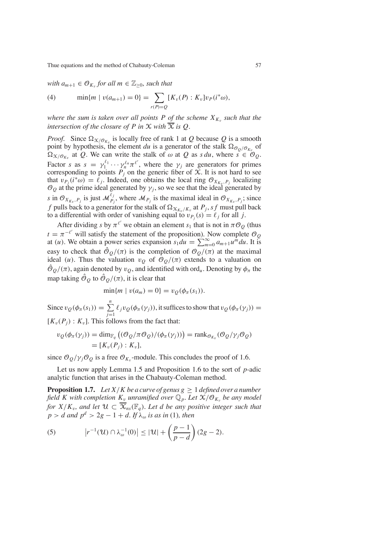*with*  $a_{m+1} \in \mathcal{O}_K$  *for all*  $m \in \mathbb{Z}_{>0}$ *, such that* 

(4) 
$$
\min\{m \mid v(a_{m+1}) = 0\} = \sum_{r(P) = Q} [K_v(P) : K_v] v_P(i^*\omega),
$$

*where the sum is taken over all points P of the scheme*  $X_{K_v}$  *such that the intersection of the closure of*  $P$  *in*  $X$  *with*  $\overline{X}$  *is*  $Q$ *.* 

*Proof.* Since  $\Omega_{X/O_{K_v}}$  is locally free of rank 1 at *Q* because *Q* is a smooth point by hypothesis, the element *du* is a generator of the stalk  $\Omega_{\mathcal{O}_Q/\mathcal{O}_{K_v}}$  of  $\Omega_{X/\mathcal{O}_{K_v}}$  at Q. We can write the stalk of  $\omega$  at Q as *s du*, where  $s \in \mathcal{O}_0$ . Factor *s* as  $s = \gamma_1^{\ell_1} \cdots \gamma_n^{\ell_n} \pi^{\ell'}$ , where the  $\gamma_j$  are generators for primes corresponding to points  $P_j$  on the generic fiber of  $\tilde{\chi}$ . It is not hard to see that  $v_{P_j}(i^*\omega) = \ell_j$ . Indeed, one obtains the local ring  $\mathcal{O}_{X_{K_v}, P_j}$  localizing  $\mathcal{O}_O$  at the prime ideal generated by  $\gamma_i$ , so we see that the ideal generated by *s* in  $\mathcal{O}_{X_{K_v}, P_j}$  is just  $\mathcal{M}_{P_j}^{\ell_j}$ , where  $\mathcal{M}_{P_j}$  is the maximal ideal in  $\mathcal{O}_{X_{K_v}, P_j}$ ; since *f* pulls back to a generator for the stalk of  $\Omega_{X_{K_v}/K_v}$  at  $P_j$ , *sf* must pull back to a differential with order of vanishing equal to  $v_{P_i}(s) = \ell_i$  for all *j*.

After dividing *s* by  $\pi^{\ell'}$  we obtain an element  $s_1$  that is not in  $\pi \mathcal{O}_Q$  (thus  $t = \pi^{-\ell'}$  will satisfy the statement of the proposition). Now complete  $\mathcal{O}_{\mathcal{Q}}$ at (*u*). We obtain a power series expansion  $s_1 du = \sum_{m=0}^{\infty} a_{m+1} u^m du$ . It is easy to check that  $\hat{\mathcal{O}}_{0}/(\pi)$  is the completion of  $\mathcal{O}_{0}/(\pi)$  at the maximal ideal (*u*). Thus the valuation  $v<sub>O</sub>$  of  $\mathcal{O}_O/(\pi)$  extends to a valuation on  $\hat{\Theta}_0/(\pi)$ , again denoted by  $v_0$ , and identified with ord<sub>u</sub>. Denoting by  $\phi_\pi$  the map taking  $\hat{\mathcal{O}}_{\mathcal{O}}$  to  $\hat{\mathcal{O}}_{\mathcal{O}}/(\pi)$ , it is clear that

 $\min\{m \mid v(a_m) = 0\} = v_O(\phi_\pi(s_1)).$ 

Since  $v_Q(\phi_\pi(s_1)) = \sum_{j=1}^n \ell_j v_Q(\phi_\pi(\gamma_j))$ , it suffices to show that  $v_Q(\phi_\pi(\gamma_j)) =$  $[K_v(P_i): K_v]$ . This follows from the fact that:

$$
v_Q(\phi_\pi(\gamma_j)) = \dim_{\mathbb{F}_q} ((\mathcal{O}_Q/\pi \mathcal{O}_Q)/(\phi_\pi(\gamma_j))) = \operatorname{rank}_{\mathcal{O}_{K_v}} (\mathcal{O}_Q/\gamma_j \mathcal{O}_Q)
$$
  
=  $[K_v(P_j) : K_v],$ 

since  $\mathcal{O}_O/\gamma/\mathcal{O}_O$  is a free  $\mathcal{O}_{K_v}$ -module. This concludes the proof of 1.6.

Let us now apply Lemma 1.5 and Proposition 1.6 to the sort of *p*-adic analytic function that arises in the Chabauty-Coleman method.

**Proposition 1.7.** Let  $X/K$  be a curve of genus  $g \geq 1$  defined over a number *field K with completion*  $K_v$  *unramified over*  $\mathbb{Q}_p$ *. Let*  $\mathcal{X}/\mathcal{O}_{K_v}$  *be any model for*  $X/K_v$ , and let  $\mathcal{U} \subset \overline{X}_{ns}(\mathbb{F}_q)$ . Let *d* be any positive integer such that  $p > d$  *and*  $p^d > 2g - 1 + d$ . If  $\lambda_\omega$  *is as in* (1)*, then* 

(5) 
$$
\left| r^{-1}(u) \cap \lambda_{\omega}^{-1}(0) \right| \leq |\mathcal{U}| + \left( \frac{p-1}{p-d} \right) (2g-2).
$$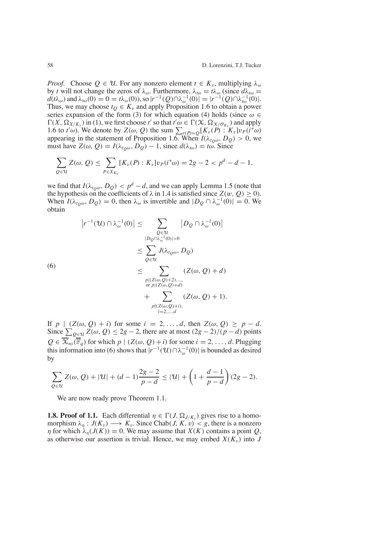*Proof.* Choose  $Q \in \mathcal{U}$ . For any nonzero element  $t \in K_v$ , multiplying  $\lambda_{\omega}$ by *t* will not change the zeros of  $λ<sub>ω</sub>$ . Furthermore,  $λ<sub>tω</sub> = tλ<sub>ω</sub>$  (since  $dλ<sub>tω</sub> =$  $d(t\lambda_{\omega})$  and  $\lambda_{t\omega}(0) = 0 = t\lambda_{\omega}(0)$ , so  $|r^{-1}(Q) \cap \lambda_{\omega}^{-1}(0)| = |r^{-1}(Q) \cap \lambda_{t\omega}^{-1}(0)|$ . Thus, we may choose  $t<sub>O</sub> \in K<sub>v</sub>$  and apply Proposition 1.6 to obtain a power series expansion of the form (3) for which equation (4) holds (since  $\omega \in$  $\Gamma(X, \Omega_{X/K_v})$  in (1), we first choose *t'* so that  $t'\omega \in \Gamma(X, \Omega_{X/\mathcal{O}_{K_v}})$  and apply 1.6 to  $t'\omega$ ). We denote by  $Z(\omega, Q)$  the sum  $\sum_{r(P)=Q} [K_v(P):K_v]v_P(i^*\omega)$ appearing in the statement of Proposition 1.6. When  $I(\lambda_{t_0\omega}, D_Q) > 0$ , we must have  $Z(\omega, Q) = I(\lambda_{t_0\omega}, D_Q) - 1$ , since  $d(\lambda_{t_0}) = t_0$ . Since

$$
\sum_{Q \in \mathcal{U}} Z(\omega, Q) \leq \sum_{P \in X_{K_v}} [K_v(P) : K_v] v_P(i^*\omega) = 2g - 2 < p^d - d - 1,
$$

we find that  $I(\lambda_{t_0\omega}, D_Q) < p^d - d$ , and we can apply Lemma 1.5 (note that the hypothesis on the coefficients of  $\lambda$  in 1.4 is satisfied since  $Z(w, Q) \ge 0$ . When  $I(\lambda_{tQ\omega}, D_Q) = 0$ , then  $\lambda_{\omega}$  is invertible and  $|D_Q \cap \lambda_{\omega}^{-1}(0)| = 0$ . We obtain

$$
|r^{-1}(\mathcal{U}) \cap \lambda_{\omega}^{-1}(0)| \leq \sum_{\substack{Q \in \mathcal{U} \\ |D_Q \cap \lambda_{\omega}^{-1}(0)| > 0}} |D_Q \cap \lambda_{\omega}^{-1}(0)|
$$
  

$$
\leq \sum_{Q \in \mathcal{U}} J(\lambda_{t_Q \omega}, D_Q)
$$
  
(6)  

$$
\leq \sum_{\substack{p | (Z(\omega, Q) + 2), \dots, \\ \text{or } p | (Z(\omega, Q) + d) \\ \text{or } p | (Z(\omega, Q) + d)}} (Z(\omega, Q) + d)
$$
  

$$
+ \sum_{\substack{p | (Z(\omega, Q) + d) \\ i = 2, \dots, d}} (Z(\omega, Q) + 1).
$$

If *p* | (*Z*(ω, *Q*) + *i*) for some *i* = 2,. . . , *d*, then *Z*(ω, *Q*) ≥ *p* − *d*. Since  $\sum_{Q \in \mathcal{U}} Z(\omega, Q) \leq 2g - 2$ , there are at most  $(2g - 2)/(p - d)$  points  $Q \in \overline{X}_{ns}(\overline{\mathbb{F}}_q)$  for which  $p \mid (Z(\omega, Q) + i)$  for some  $i = 2, ..., d$ . Plugging this information into (6) shows that  $|r^{-1}(U) \cap \lambda_{\omega}^{-1}(0)|$  is bounded as desired by

$$
\sum_{Q \in \mathcal{U}} Z(\omega, Q) + |\mathcal{U}| + (d - 1) \frac{2g - 2}{p - d} \le |\mathcal{U}| + \left(1 + \frac{d - 1}{p - d}\right) (2g - 2).
$$

We are now ready prove Theorem 1.1.

**1.8. Proof of 1.1.** Each differential  $\eta \in \Gamma(J, \Omega_{J/K_v})$  gives rise to a homomorphism  $\lambda_n : J(K_v) \longrightarrow K_v$ . Since Chab(*J*, *K*, *v*) < *g*, there is a nonzero  $\eta$  for which  $\lambda_n(J(K)) = 0$ . We may assume that  $X(K)$  contains a point *Q*, as otherwise our assertion is trivial. Hence, we may embed  $X(K_v)$  into *J*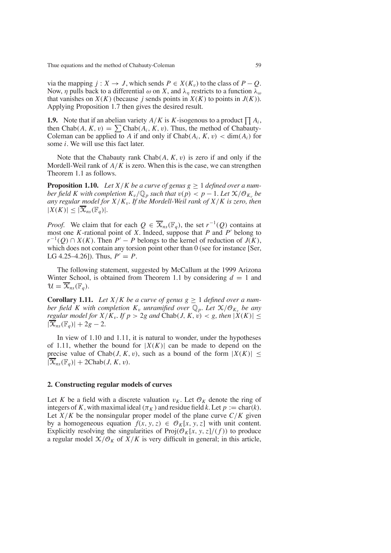via the mapping  $j: X \to J$ , which sends  $P \in X(K_v)$  to the class of  $P - Q$ . Now,  $\eta$  pulls back to a differential  $\omega$  on X, and  $\lambda_n$  restricts to a function  $\lambda_\omega$ that vanishes on  $X(K)$  (because *j* sends points in  $X(K)$  to points in  $J(K)$ ). Applying Proposition 1.7 then gives the desired result.

**1.9.** Note that if an abelian variety  $A/K$  is  $K$ -isogenous to a product  $\prod A_i$ , then  $Chab(A, K, v) = \sum Chab(A_i, K, v)$ . Thus, the method of Chabauty-Coleman can be applied to *A* if and only if  $Chab(A_i, K, v) < dim(A_i)$  for some *i*. We will use this fact later.

Note that the Chabauty rank Chab(*A*, *K*, v) is zero if and only if the Mordell-Weil rank of *A*/*K* is zero. When this is the case, we can strengthen Theorem 1.1 as follows.

**Proposition 1.10.** *Let*  $X/K$  *be a curve of genus g*  $\geq 1$  *defined over a number field K with completion*  $K_v/\mathbb{Q}_p$  *such that*  $v(p) < p - 1$ *. Let*  $\mathcal{X}/\mathcal{O}_K$  *be any regular model for*  $X/K_v$ *. If the Mordell-Weil rank of*  $X/K$  *is zero, then*  $|X(K)| \leq |\overline{\mathcal{X}}_{ns}(\mathbb{F}_q)|$ .

*Proof.* We claim that for each  $Q \in \overline{X}_{ns}(\mathbb{F}_q)$ , the set  $r^{-1}(Q)$  contains at most one *K*-rational point of *X*. Indeed, suppose that *P* and  $P'$  belong to *r*<sup>−1</sup>(*Q*) ∩ *X*(*K*). Then *P*<sup> $\prime$ </sup> − *P* belongs to the kernel of reduction of *J*(*K*), which does not contain any torsion point other than 0 (see for instance [Ser, LG 4.25–4.26]). Thus,  $P' = P$ .

The following statement, suggested by McCallum at the 1999 Arizona Winter School, is obtained from Theorem 1.1 by considering  $d = 1$  and  $\mathcal{U} = \overline{\mathcal{X}}_{ns}(\mathbb{F}_q).$ 

**Corollary 1.11.** Let  $X/K$  be a curve of genus  $g \ge 1$  defined over a num*ber field K with completion*  $K_v$  *unramified over*  $\mathbb{Q}_v$ *. Let*  $\mathbb{X}/\mathcal{O}_{K_v}$  *be any regular model* for  $X/K_v$ . If  $p > 2g$  *and* Chab(*J*,  $K, v$ ) < g, *then*  $|X(K)| \le$  $|\overline{\mathcal{X}}_{ns}(\mathbb{F}_q)| + 2g - 2.$ 

In view of 1.10 and 1.11, it is natural to wonder, under the hypotheses of 1.11, whether the bound for  $|X(K)|$  can be made to depend on the precise value of Chab(*J*, *K*, *v*), such as a bound of the form  $|X(K)| \le$  $|\overline{\mathcal{X}}_{ns}(\mathbb{F}_q)| + 2Chab(J, K, v).$ 

#### **2. Constructing regular models of curves**

Let *K* be a field with a discrete valuation  $v_K$ . Let  $\mathcal{O}_K$  denote the ring of integers of *K*, with maximal ideal ( $\pi_K$ ) and residue field *k*. Let  $p := \text{char}(k)$ . Let  $X/K$  be the nonsingular proper model of the plane curve  $C/K$  given by a homogeneous equation  $f(x, y, z) \in \mathcal{O}_K[x, y, z]$  with unit content. Explicitly resolving the singularities of  $\text{Proj}(\mathcal{O}_K[x, y, z]/(f))$  to produce a regular model  $\mathcal{X}/\mathcal{O}_K$  of  $X/K$  is very difficult in general; in this article,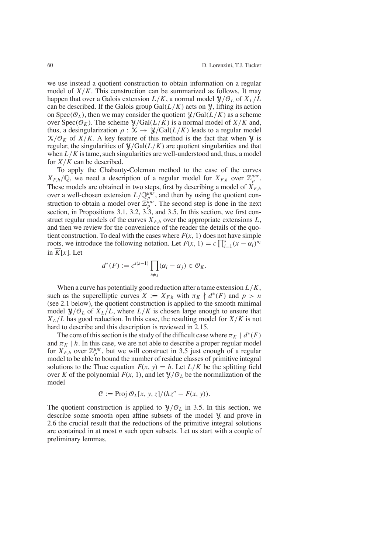we use instead a quotient construction to obtain information on a regular model of  $X/K$ . This construction can be summarized as follows. It may happen that over a Galois extension  $L/K$ , a normal model  $\mathcal{Y}/\mathcal{O}_L$  of  $X_L/L$ can be described. If the Galois group  $Gal(L/K)$  acts on  $\mathcal{Y}$ , lifting its action on  $Spec(\mathcal{O}_L)$ , then we may consider the quotient  $\mathcal{Y}/Gal(L/K)$  as a scheme over  $Spec(\mathcal{O}_K)$ . The scheme  $\mathcal{Y}/Gal(L/K)$  is a normal model of  $X/K$  and, thus, a desingularization  $\rho$  :  $\mathcal{X} \to \mathcal{Y}/\text{Gal}(L/K)$  leads to a regular model  $X/O<sub>K</sub>$  of  $X/K$ . A key feature of this method is the fact that when  $Y$  is regular, the singularities of  $\frac{\gamma}{G}$  Gal( $L/K$ ) are quotient singularities and that when  $L/K$  is tame, such singularities are well-understood and, thus, a model for *X*/*K* can be described.

To apply the Chabauty-Coleman method to the case of the curves  $X_{F,h}/\mathbb{Q}$ , we need a description of a regular model for  $X_{F,h}$  over  $\mathbb{Z}_p^{unr}$ . These models are obtained in two steps, first by describing a model of  $X_{F,h}$ over a well-chosen extension  $L/\mathbb{Q}_p^{unr}$ , and then by using the quotient construction to obtain a model over  $\mathbb{Z}_p^{unr}$ . The second step is done in the next section, in Propositions 3.1, 3.2, 3.3, and 3.5. In this section, we first construct regular models of the curves  $X_{F,h}$  over the appropriate extensions  $L$ , and then we review for the convenience of the reader the details of the quotient construction. To deal with the cases where  $F(x, 1)$  does not have simple roots, we introduce the following notation. Let  $F(x, 1) = c \prod_{i=1}^{s} (x - \alpha_i)^{n_i}$ in  $\overline{K}[x]$ . Let

$$
d^*(F) := c^{s(s-1)} \prod_{i \neq j} (\alpha_i - \alpha_j) \in \mathcal{O}_K.
$$

When a curve has potentially good reduction after a tame extension *L*/*K*, such as the superelliptic curves  $X := X_{F,h}$  with  $\pi_K \nmid d^*(F)$  and  $p > n$ (see 2.1 below), the quotient construction is applied to the smooth minimal model  $\mathcal{Y}/\mathcal{O}_L$  of  $X_L/L$ , where  $L/K$  is chosen large enough to ensure that  $X_L/L$  has good reduction. In this case, the resulting model for  $X/K$  is not hard to describe and this description is reviewed in 2.15.

The core of this section is the study of the difficult case where  $\pi_K$  |  $d^*(F)$ and  $\pi_K$  | *h*. In this case, we are not able to describe a proper regular model for  $X_{F,h}^{r}$  over  $\mathbb{Z}_p^{unr}$ , but we will construct in 3.5 just enough of a regular model to be able to bound the number of residue classes of primitive integral solutions to the Thue equation  $F(x, y) = h$ . Let  $L/K$  be the splitting field over *K* of the polynomial  $F(x, 1)$ , and let  $\mathcal{Y}/\mathcal{O}_L$  be the normalization of the model

$$
\mathcal{C} := \text{Proj } \mathcal{O}_L[x, y, z]/(hz^n - F(x, y)).
$$

The quotient construction is applied to  $\mathcal{Y}/\mathcal{O}_L$  in 3.5. In this section, we describe some smooth open affine subsets of the model  $\mathcal{Y}$  and prove in 2.6 the crucial result that the reductions of the primitive integral solutions are contained in at most *n* such open subsets. Let us start with a couple of preliminary lemmas.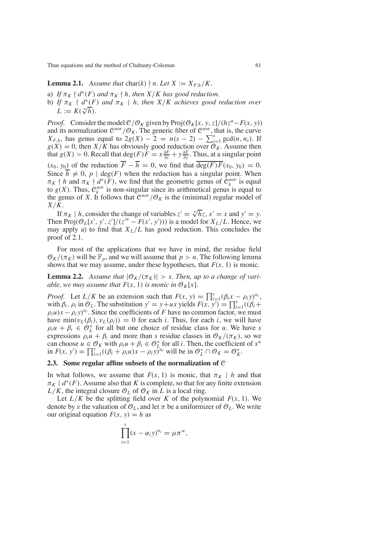**Lemma 2.1.** Assume that  $char(k) \nmid n$ . Let  $X := X_{F,h}/K$ .

- a) *If*  $\pi_K \nmid d^*(F)$  *and*  $\pi_K \nmid h$ , *then*  $X/K$  *has good reduction.*
- b) *If*  $\pi_K$   $\nmid d^*(F)$  *and*  $\pi_K$  | *h, then*  $X/K$  *achieves good reduction over*  $L := K(\sqrt[n]{h}).$

*Proof.* Consider the model  $C/O<sub>K</sub>$  given by Proj $(O<sub>K</sub>[x, y, z]/(hz<sup>n</sup> – F(x, y))$ and its normalization  $\mathcal{C}^{nor}/\mathcal{O}_K$ . The generic fiber of  $\mathcal{C}^{nor}$ , that is, the curve  $X_{F,h}$ , has genus equal to  $2g(X) - 2 = n(s - 2) - \sum_{i=1}^{s} \gcd(n, n_i)$ . If  $g(X) = 0$ , then  $X/K$  has obviously good reduction over  $\mathcal{O}_K$ . Assume then that *g*(*X*) > 0. Recall that deg(*F*)*F* =  $x \frac{\partial F}{\partial x} + y \frac{\partial F}{\partial y}$ . Thus, at a singular point  $(x_0, y_0)$  of the reduction  $\overline{F} - \overline{h} = 0$ , we find that  $\overline{\deg(F)F}(x_0, y_0) = 0$ . Since  $\overline{h} \neq 0$ ,  $p \mid \text{deg}(F)$  when the reduction has a singular point. When  $\pi_K$  | *h* and  $\pi_K$  |  $d^*(F)$ , we find that the geometric genus of  $\mathcal{C}_k^{nor}$  is equal to  $g(X)$ . Thus,  $\mathcal{C}_k^{nor}$  is non-singular since its arithmetical genus is equal to the genus of *X*. It follows that  $C^{nor}/O_K$  is the (minimal) regular model of *X*/*K*.

If  $\pi_K$  | *h*, consider the change of variables  $z' = \sqrt[n]{h}z$ ,  $x' = x$  and  $y' = y$ . Then  $\text{Proj}(\mathcal{O}_L[x', y', z']/ (z'' - F(x', y')))$  is a model for  $X_L/L$ . Hence, we may apply a) to find that  $X_L/L$  has good reduction. This concludes the proof of 2.1.

For most of the applications that we have in mind, the residue field  $\mathcal{O}_K/(\pi_K)$  will be  $\mathbb{F}_p$ , and we will assume that  $p > n$ . The following lemma shows that we may assume, under these hypotheses, that  $F(x, 1)$  is monic.

**Lemma 2.2.** Assume that  $|\mathcal{O}_K/(\pi_K)| > s$ . Then, up to a change of vari*able, we may assume that*  $F(x, 1)$  *is monic in*  $\mathcal{O}_K[x]$ *.* 

*Proof.* Let  $L/K$  be an extension such that  $F(x, y) = \prod_{i=1}^{s} (\beta_i x - \rho_i y)^{n_i}$ with  $\beta_i$ ,  $\rho_i$  in  $\mathcal{O}_L$ . The substitution  $y' = y + ux$  yields  $F(x, y') = \prod_{i=1}^s ((\beta_i + y_i')^2)$ .  $\rho_i u$ ) $x - \rho_i y$ <sup>n<sub>i</sub></sup>. Since the coefficients of *F* have no common factor, we must have  $\min(v_L(\beta_i), v_L(\rho_i)) = 0$  for each *i*. Thus, for each *i*, we will have  $\rho_i u + \beta_i \in \mathcal{O}_L^*$  for all but one choice of residue class for *u*. We have *s* expressions  $\rho_i u + \beta_i$  and more than *s* residue classes in  $\mathcal{O}_K/(\pi_K)$ , so we can choose  $u \in \mathcal{O}_K$  with  $\rho_i u + \beta_i \in \mathcal{O}_L^*$  for all *i*. Then, the coefficient of  $x^n$  $\int \ln F(x, y') = \prod_{i=1}^{s} ((\beta_i + \rho_i u)x - \rho_i y)^{n_i}$  will be in  $\mathcal{O}_L^* \cap \mathcal{O}_K = \mathcal{O}_K^*$ .

#### **2.3. Some regular affine subsets of the normalization of** C

In what follows, we assume that  $F(x, 1)$  is monic, that  $\pi_K \mid h$  and that  $\pi_K$  |  $d^*(F)$ . Assume also that *K* is complete, so that for any finite extension  $L/K$ , the integral closure  $\mathcal{O}_L$  of  $\mathcal{O}_K$  in *L* is a local ring.

Let  $L/K$  be the splitting field over *K* of the polynomial  $F(x, 1)$ . We denote by v the valuation of  $\mathcal{O}_L$ , and let  $\pi$  be a uniformizer of  $\mathcal{O}_L$ . We write our original equation  $F(x, y) = h$  as

$$
\prod_{i=1}^s (x - \alpha_i y)^{n_i} = \mu \pi^w,
$$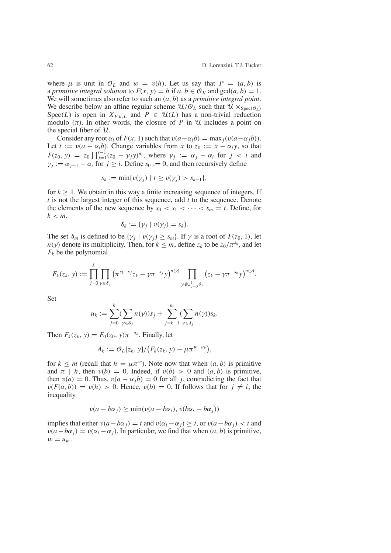where  $\mu$  is unit in  $\mathcal{O}_L$  and  $w = v(h)$ . Let us say that  $P = (a, b)$  is a *primitive integral solution* to  $F(x, y) = h$  if  $a, b \in \mathcal{O}_K$  and  $gcd(a, b) = 1$ . We will sometimes also refer to such an (*a*, *b*) as a *primitive integral point*. We describe below an affine regular scheme  $\mathcal{U}/\mathcal{O}_L$  such that  $\mathcal{U} \times_{\text{Spec}(\mathcal{O}_L)}$ Spec(*L*) is open in  $X_{F,h,L}$  and  $P \in \mathcal{U}(L)$  has a non-trivial reduction modulo  $(\pi)$ . In other words, the closure of *P* in U includes a point on the special fiber of  $U$ .

Consider any root  $\alpha_i$  of  $F(x, 1)$  such that  $v(a - \alpha_i b) = \max_i (v(a - \alpha_i b))$ . Let  $t := v(a - \alpha_i b)$ . Change variables from *x* to  $z_0 := x - \alpha_i y$ , so that *F*(*z*<sub>0</sub>, *y*) = *z*<sub>0</sub>  $\prod_{j=1}^{s-1} (z_0 - \gamma_j y)^{n_i}$ , where  $\gamma_j := \alpha_j - \alpha_i$  for  $j < i$  and  $\gamma_i := \alpha_{i+1} - \alpha_i$  for  $j \geq i$ . Define  $s_0 := 0$ , and then recursively define

$$
s_k := \min\{v(\gamma_j) \mid t \ge v(\gamma_j) > s_{k-1}\},\
$$

for  $k > 1$ . We obtain in this way a finite increasing sequence of integers. If *t* is not the largest integer of this sequence, add *t* to the sequence. Denote the elements of the new sequence by  $s_0 < s_1 < \cdots < s_m = t$ . Define, for  $k < m$ ,

$$
\mathcal{S}_k := \{ \gamma_j \mid v(\gamma_j) = s_k \}.
$$

The set  $\mathcal{S}_m$  is defined to be  $\{\gamma_i \mid v(\gamma_i) \geq s_m\}$ . If  $\gamma$  is a root of  $F(z_0, 1)$ , let *n*(*γ*) denote its multiplicity. Then, for  $k \le m$ , define  $z_k$  to be  $z_0/\pi^{s_k}$ , and let  $F_k$  be the polynomial

$$
F_k(z_k, y) := \prod_{j=0}^k \prod_{\gamma \in \delta_j} \left( \pi^{s_k - s_j} z_k - \gamma \pi^{-s_j} y \right)^{n(\gamma)} \prod_{\gamma \notin \cup_{j=0}^k \delta_j} \left( z_k - \gamma \pi^{-s_k} y \right)^{n(\gamma)}.
$$

Set

$$
u_k := \sum_{j=0}^k (\sum_{\gamma \in \delta_j} n(\gamma)) s_j + \sum_{j=k+1}^m (\sum_{\gamma \in \delta_j} n(\gamma)) s_k.
$$

Then  $F_k(z_k, y) = F_0(z_0, y) \pi^{-u_k}$ . Finally, let

$$
A_k := \mathcal{O}_L[z_k, y]/\big(F_k(z_k, y) - \mu \pi^{w-u_k}\big),
$$

for  $k \le m$  (recall that  $h = \mu \pi^w$ ). Note now that when  $(a, b)$  is primitive and  $\pi$  | *h*, then  $v(b) = 0$ . Indeed, if  $v(b) > 0$  and  $(a, b)$  is primitive, then  $v(a) = 0$ . Thus,  $v(a - \alpha_i b) = 0$  for all *j*, contradicting the fact that  $v(F(a, b)) = v(h) > 0$ . Hence,  $v(b) = 0$ . If follows that for  $j \neq i$ , the inequality

$$
v(a - b\alpha_j) \ge \min(v(a - b\alpha_i), v(b\alpha_i - b\alpha_j))
$$

implies that either  $v(a - b\alpha_j) = t$  and  $v(\alpha_i - \alpha_j) \ge t$ , or  $v(a - b\alpha_j) < t$  and  $v(a-b\alpha_j) = v(\alpha_i - \alpha_j)$ . In particular, we find that when  $(a, b)$  is primitive,  $w = u_m$ .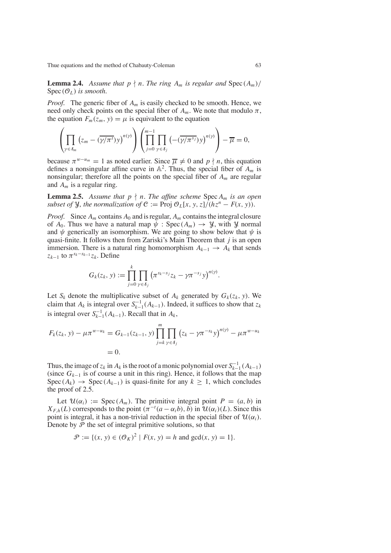**Lemma 2.4.** Assume that  $p \nmid n$ . The ring  $A_m$  is regular and  $\text{Spec}(A_m)/$  $Spec(\mathcal{O}_L)$  *is smooth.* 

*Proof.* The generic fiber of  $A_m$  is easily checked to be smooth. Hence, we need only check points on the special fiber of  $A_m$ . We note that modulo  $\pi$ , the equation  $F_m(\bar{z}_m, y) = \mu$  is equivalent to the equation

$$
\left(\prod_{\gamma\in\delta_m}\left(z_m-(\overline{\gamma/\pi^t})y\right)^{n(\gamma)}\right)\left(\prod_{j=0}^{m-1}\prod_{\gamma\in\delta_j}\left(-(\overline{\gamma/\pi^{sj}})y\right)^{n(\gamma)}\right)-\overline{\mu}=0,
$$

because  $\pi^{w-u_m} = 1$  as noted earlier. Since  $\overline{\mu} \neq 0$  and  $p \nmid n$ , this equation defines a nonsingular affine curve in  $\mathbb{A}^2$ . Thus, the special fiber of  $A_m$  is nonsingular; therefore all the points on the special fiber of *Am* are regular and *Am* is a regular ring.

**Lemma 2.5.** Assume that  $p \nmid n$ . The affine scheme Spec  $A_m$  is an open *subset of*  $\mathcal{Y}$ *, the normalization of*  $\mathcal{C} := \text{Proj } \mathcal{O}_L[x, y, z]/(hz^n - F(x, y))$ .

*Proof.* Since  $A_m$  contains  $A_0$  and is regular,  $A_m$  contains the integral closure of  $A_0$ . Thus we have a natural map  $\psi$  : Spec( $A_m$ )  $\rightarrow \mathcal{Y}$ , with  $\mathcal{Y}$  normal and  $\psi$  generically an isomorphism. We are going to show below that  $\psi$  is quasi-finite. It follows then from Zariski's Main Theorem that *j* is an open immersion. There is a natural ring homomorphism  $A_{k-1}$  →  $A_k$  that sends  $z_{k-1}$  to  $\pi^{s_k-s_{k-1}}z_k$ . Define

$$
G_k(z_k, y) := \prod_{j=0}^k \prod_{\gamma \in \delta_j} \left( \pi^{s_k - s_j} z_k - \gamma \pi^{-s_j} y \right)^{n(\gamma)}.
$$

Let  $S_k$  denote the multiplicative subset of  $A_k$  generated by  $G_k(z_k, y)$ . We claim that  $A_k$  is integral over  $S_{k-1}^{-1}(A_{k-1})$ . Indeed, it suffices to show that  $z_k$ is integral over  $S_{k-1}^{-1}(A_{k-1})$ . Recall that in  $A_k$ ,

$$
F_k(z_k, y) - \mu \pi^{w-u_k} = G_{k-1}(z_{k-1}, y) \prod_{j=k}^m \prod_{\gamma \in \delta_j} (z_k - \gamma \pi^{-s_k} y)^{n(\gamma)} - \mu \pi^{w-u_k}
$$
  
= 0.

Thus, the image of  $z_k$  in  $A_k$  is the root of a monic polynomial over  $S_{k-1}^{-1}(A_{k-1})$ (since  $G_{k-1}$  is of course a unit in this ring). Hence, it follows that the map Spec( $A_k$ ) → Spec( $A_{k-1}$ ) is quasi-finite for any  $k \ge 1$ , which concludes the proof of 2.5.

Let  $\mathcal{U}(\alpha_i) := \text{Spec}(A_m)$ . The primitive integral point  $P = (a, b)$  in  $X_{F,h}(L)$  corresponds to the point  $(\pi^{-t}(a - \alpha_i b), b)$  in  $\mathcal{U}(\alpha_i)(L)$ . Since this point is integral, it has a non-trivial reduction in the special fiber of  $\mathcal{U}(\alpha_i)$ . Denote by  $P$  the set of integral primitive solutions, so that

$$
\mathcal{P} := \{ (x, y) \in (\mathcal{O}_K)^2 \mid F(x, y) = h \text{ and } \gcd(x, y) = 1 \}.
$$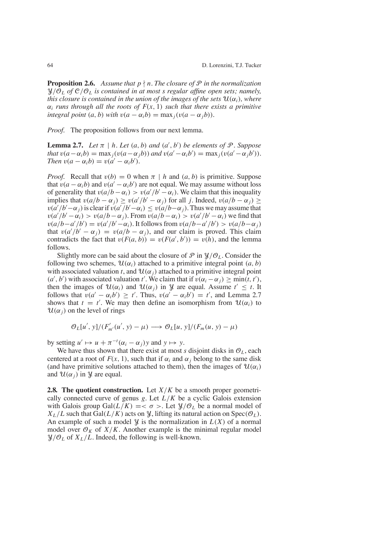**Proposition 2.6.** Assume that  $p \nmid n$ . The closure of  $P$  in the normalization  $\mathcal{Y}/\overline{O}_L$  *of*  $\mathcal{C}/O_L$  *is contained in at most s regular affine open sets; namely, this closure is contained in the union of the images of the sets*  $\mathcal{U}(\alpha_i)$ *, where*  $\alpha_i$  *runs through all the roots of*  $F(x, 1)$  *such that there exists a primitive integral point*  $(a, b)$  *with*  $v(a - \alpha_i b) = \max_i (v(a - \alpha_i b)).$ 

*Proof.* The proposition follows from our next lemma.

**Lemma 2.7.** *Let*  $\pi | h$ *. Let*  $(a, b)$  *and*  $(a', b')$  *be elements of*  $\mathcal{P}$ *. Suppose that*  $v(a - \alpha_i b) = \max_j (v(a - \alpha_j b))$  *and*  $v(a' - \alpha_i b') = \max_j (v(a' - \alpha_j b')).$ *Then*  $v(a - \alpha_i b) = v(a' - \alpha_i b')$ .

*Proof.* Recall that  $v(b) = 0$  when  $\pi | h$  and  $(a, b)$  is primitive. Suppose that  $v(a - \alpha_i b)$  and  $v(a' - \alpha_i b')$  are not equal. We may assume without loss of generality that  $v(a/b - \alpha_i) > v(a'/b' - \alpha_i)$ . We claim that this inequality implies that  $v(a/b - \alpha_j) \ge v(a'/b' - \alpha_j)$  for all *j*. Indeed,  $v(a/b - \alpha_j) \ge$  $v(a'/b' - \alpha_j)$  is clear if  $v(a'/b' - \alpha_i) \le v(a/b - \alpha_j)$ . Thus we may assume that  $v(a'/b' - \alpha_i) > v(a/b - \alpha_j)$ . From  $v(a/b - \alpha_i) > v(a'/b' - \alpha_i)$  we find that  $v(a/b-a'/b') = v(a'/b'-\alpha_i)$ . It follows from  $v(a/b-a'/b') > v(a/b-\alpha_j)$ that  $v(a'/b' - a_j) = v(a/b - a_j)$ , and our claim is proved. This claim contradicts the fact that  $v(F(a, b)) = v(F(a', b')) = v(h)$ , and the lemma follows.

Slightly more can be said about the closure of  $\mathcal P$  in  $\mathcal Y/\mathcal O_I$ . Consider the following two schemes,  $\mathcal{U}(\alpha_i)$  attached to a primitive integral point  $(a, b)$ with associated valuation *t*, and  $\mathcal{U}(\alpha_i)$  attached to a primitive integral point  $(a', b')$  with associated valuation *t'*. We claim that if  $v(\alpha_i - \alpha_j) \ge \min(t, t')$ , then the images of  $U(\alpha_i)$  and  $U(\alpha_j)$  in  $\mathcal Y$  are equal. Assume  $t' \leq t$ . It follows that  $v(a' - \alpha_i b') \ge t'$ . Thus,  $v(a' - \alpha_i b') = t'$ , and Lemma 2.7 shows that  $t = t'$ . We may then define an isomorphism from  $\mathcal{U}(\alpha_i)$  to  $U(\alpha_i)$  on the level of rings

$$
\mathcal{O}_L[u',\,y]/(F'_{m'}(u',\,y)-\mu)\longrightarrow \mathcal{O}_L[u,\,y]/(F_m(u,\,y)-\mu)
$$

by setting  $u' \mapsto u + \pi^{-t}(\alpha_i - \alpha_j)y$  and  $y \mapsto y$ .

We have thus shown that there exist at most *s* disjoint disks in  $O<sub>L</sub>$ , each centered at a root of  $F(x, 1)$ , such that if  $\alpha_i$  and  $\alpha_j$  belong to the same disk (and have primitive solutions attached to them), then the images of  $\mathcal{U}(\alpha_i)$ and  $\mathcal{U}(\alpha_i)$  in *Y* are equal.

**2.8. The quotient construction.** Let *X*/*K* be a smooth proper geometrically connected curve of genus  $g$ . Let  $L/K$  be a cyclic Galois extension with Galois group Gal $(L/K)$  = <  $\sigma$  >. Let  $\mathcal{Y}/\mathcal{O}_L$  be a normal model of  $X_L/L$  such that Gal( $L/K$ ) acts on  $\mathcal{Y}$ , lifting its natural action on Spec( $\mathcal{O}_L$ ). An example of such a model  $\mathcal{Y}$  is the normalization in  $L(X)$  of a normal model over  $\mathcal{O}_K$  of  $X/K$ . Another example is the minimal regular model  $\mathcal{Y}/\mathcal{O}_L$  of  $X_L/L$ . Indeed, the following is well-known.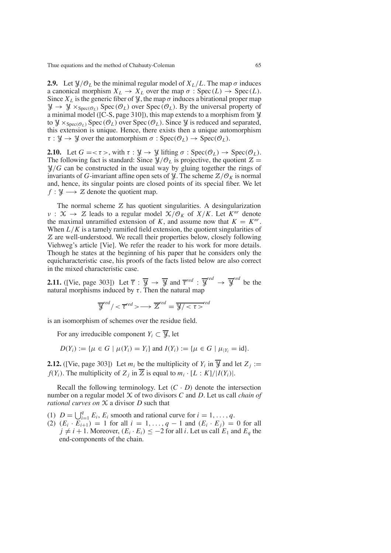**2.9.** Let  $\mathcal{Y}/\mathcal{O}_L$  be the minimal regular model of  $X_L/L$ . The map  $\sigma$  induces a canonical morphism  $X_L \to X_L$  over the map  $\sigma : \text{Spec}(L) \to \text{Spec}(L)$ . Since  $X_L$  is the generic fiber of  $\mathcal{Y}$ , the map  $\sigma$  induces a birational proper map  $\mathcal{Y} \to \mathcal{Y} \times_{\text{Spec}(\mathcal{O}_L)} \text{Spec}(\mathcal{O}_L)$  over  $\text{Spec}(\mathcal{O}_L)$ . By the universal property of a minimal model ( $[C-S, page 310]$ ), this map extends to a morphism from  $\mathcal{Y}$ to  $\mathcal{Y} \times_{\text{Spec}(\mathcal{O}_L)} \text{Spec}(\mathcal{O}_L)$  over  $\text{Spec}(\mathcal{O}_L)$ . Since  $\mathcal{Y}$  is reduced and separated, this extension is unique. Hence, there exists then a unique automorphism  $\tau : \mathcal{Y} \to \mathcal{Y}$  over the automorphism  $\sigma : \text{Spec}(\mathcal{O}_L) \to \text{Spec}(\mathcal{O}_L)$ .

**2.10.** Let  $G = \langle \tau \rangle$ , with  $\tau : \mathcal{Y} \to \mathcal{Y}$  lifting  $\sigma : \text{Spec}(\mathcal{O}_L) \to \text{Spec}(\mathcal{O}_L)$ . The following fact is standard: Since  $\mathcal{Y}/\mathcal{O}_L$  is projective, the quotient  $\mathcal{Z} =$  $\mathcal{Y}/G$  can be constructed in the usual way by gluing together the rings of invariants of *G*-invariant affine open sets of *Y*. The scheme  $Z/O<sub>K</sub>$  is normal and, hence, its singular points are closed points of its special fiber. We let  $f: \mathcal{Y} \longrightarrow \mathcal{Z}$  denote the quotient map.

The normal scheme  $Z$  has quotient singularities. A desingularization  $v : \mathcal{X} \to \mathcal{Z}$  leads to a regular model  $\mathcal{X}/\mathcal{O}_K$  of  $X/K$ . Let  $K^{nr}$  denote the maximal unramified extension of *K*, and assume now that  $K = K^{nr}$ . When  $L/K$  is a tamely ramified field extension, the quotient singularities of Z are well-understood. We recall their properties below, closely following Viehweg's article [Vie]. We refer the reader to his work for more details. Though he states at the beginning of his paper that he considers only the equicharacteristic case, his proofs of the facts listed below are also correct in the mixed characteristic case.

**2.11.** ([Vie, page 303]) Let  $\overline{\tau}$  :  $\overline{\mathcal{Y}} \rightarrow \overline{\mathcal{Y}}$  and  $\overline{\tau}^{red}$  :  $\overline{\mathcal{Y}}^{red} \rightarrow \overline{\mathcal{Y}}^{red}$  be the natural morphisms induced by τ. Then the natural map

$$
\overline{\mathcal{Y}}^{red} / < \overline{\tau}^{red} > \longrightarrow \overline{\mathcal{Z}}^{red} = \overline{\mathcal{Y} / < \tau >}^{red}
$$

is an isomorphism of schemes over the residue field.

For any irreducible component  $Y_i \subset \overline{Y}$ , let

*D*( $Y_i$ ) := { $\mu \in G \mid \mu(Y_i) = Y_i$ } and  $I(Y_i) := \{ \mu \in G \mid \mu|_{Y_i} = id \}.$ 

**2.12.** ([Vie, page 303]) Let  $m_i$  be the multiplicity of  $Y_i$  in  $\overline{Y}_i$  and let  $Z_i :=$ *f*(*Y<sub>i</sub>*). The multiplicity of  $Z_i$  in  $\overline{Z}$  is equal to  $m_i \cdot [L:K]/|I(Y_i)|$ .

Recall the following terminology. Let  $(C \cdot D)$  denote the intersection number on a regular model X of two divisors *C* and *D*. Let us call *chain of rational curves on* X a divisor *D* such that

- (1)  $D = \bigcup_{i=1}^{q} E_i, E_i$  smooth and rational curve for  $i = 1, ..., q$ .
- (2)  $(E_i \cdot \overline{E_{i+1}}) = 1$  for all  $i = 1, ..., q 1$  and  $(E_i \cdot E_j) = 0$  for all  $j \neq i + 1$ . Moreover,  $(E_i \cdot E_i) \leq -2$  for all *i*. Let us call  $E_1$  and  $E_q$  the end-components of the chain.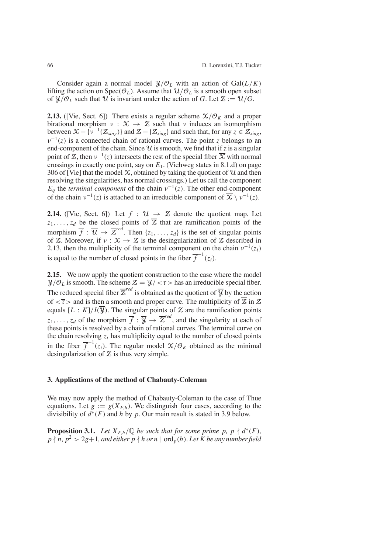Consider again a normal model  $\mathcal{Y}/\mathcal{O}_L$  with an action of Gal( $L/K$ ) lifting the action on  $Spec(\mathcal{O}_L)$ . Assume that  $\mathcal{U}/\mathcal{O}_L$  is a smooth open subset of  $\mathcal{Y}/\mathcal{O}_L$  such that  $\mathcal{U}$  is invariant under the action of *G*. Let  $\mathcal{Z} := \mathcal{U}/G$ .

**2.13.** ([Vie, Sect. 6]) There exists a regular scheme  $\mathcal{X}/\mathcal{O}_K$  and a proper birational morphism  $v : \mathcal{X} \to \mathcal{Z}$  such that v induces an isomorphism between  $\mathcal{X}-\{\nu^{-1}(\mathcal{Z}_{sing})\}$  and  $\mathcal{Z}-\{\mathcal{Z}_{sing}\}$  and such that, for any  $z \in \mathcal{Z}_{sing}$ ,  $v^{-1}(z)$  is a connected chain of rational curves. The point *z* belongs to an end-component of the chain. Since  $\mathcal U$  is smooth, we find that if  $\zeta$  is a singular point of  $\mathbb{Z}$ , then  $v^{-1}(z)$  intersects the rest of the special fiber  $\overline{\mathbb{X}}$  with normal crossings in exactly one point, say on *E*1. (Viehweg states in 8.1.d) on page 306 of [Vie] that the model  $X$ , obtained by taking the quotient of  $U$  and then resolving the singularities, has normal crossings.) Let us call the component  $E_q$  the *terminal component* of the chain  $v^{-1}(z)$ . The other end-component of the chain  $v^{-1}(z)$  is attached to an irreducible component of  $\overline{X} \setminus v^{-1}(z)$ .

**2.14.** ([Vie, Sect. 6]) Let  $f : \mathcal{U} \rightarrow \mathcal{Z}$  denote the quotient map. Let  $z_1, \ldots, z_d$  be the closed points of  $\overline{z}$  that are ramification points of the morphism  $\overline{f}$  :  $\overline{\mathcal{U}} \rightarrow \overline{\mathcal{Z}}^{red}$ . Then {*z*<sub>1</sub>, ..., *z*<sub>*d*</sub>} is the set of singular points of Z. Moreover, if  $v : \mathcal{X} \to \mathcal{Z}$  is the desingularization of Z described in 2.13, then the multiplicity of the terminal component on the chain  $v^{-1}(z_i)$ is equal to the number of closed points in the fiber  $\overline{f}^{-1}(z_i)$ .

**2.15.** We now apply the quotient construction to the case where the model  $\mathcal{Y}/\mathcal{O}_L$  is smooth. The scheme  $\mathcal{Z} = \mathcal{Y}/\langle \tau \rangle$  has an irreducible special fiber. The reduced special fiber  $\overline{Z}^{red}$  is obtained as the quotient of  $\overline{Y}$  by the action of  $\langle \overline{\tau} \rangle$  and is then a smooth and proper curve. The multiplicity of  $\overline{\mathcal{Z}}$  in  $\mathcal{Z}$ equals  $[L : K]/I(\overline{Y})$ . The singular points of Z are the ramification points  $z_1, \ldots, z_d$  of the morphism  $\overline{f} : \overline{Y} \to \overline{Z}^{red}$ , and the singularity at each of these points is resolved by a chain of rational curves. The terminal curve on the chain resolving  $z_i$  has multiplicity equal to the number of closed points in the fiber  $\overline{f}^{-1}(z_i)$ . The regular model  $\mathcal{X}/\mathcal{O}_K$  obtained as the minimal desingularization of  $Z$  is thus very simple.

## **3. Applications of the method of Chabauty-Coleman**

We may now apply the method of Chabauty-Coleman to the case of Thue equations. Let  $g := g(X_{F,h})$ . We distinguish four cases, according to the divisibility of *d*∗(*F*) and *h* by *p*. Our main result is stated in 3.9 below.

**Proposition 3.1.** *Let*  $X_{F,h}/\mathbb{Q}$  *be such that for some prime p, p*  $\nmid d^*(F)$ *,*  $p \nmid n, p^2 > 2g+1$ , and either  $p \nmid h$  or  $n |$  ord<sub>p</sub>(*h*). Let  $\hat{K}$  be any number field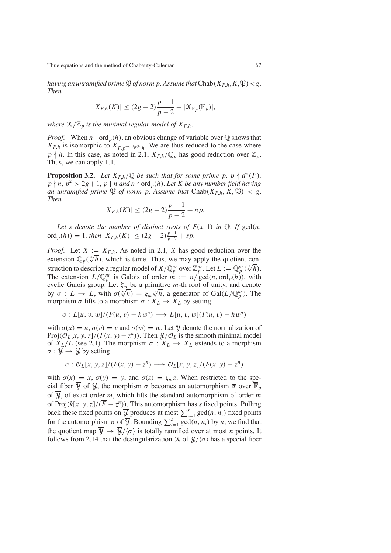*having* an *unramified prime*  $\mathfrak{P}$  *of norm p.* Assume that  $\text{Chab}(X_{F,h}, K, \mathfrak{P}) < g$ . *Then*

$$
|X_{F,h}(K)| \le (2g-2)\frac{p-1}{p-2} + |\mathcal{K}_{\mathbb{F}_p}(\mathbb{F}_p)|,
$$

*where*  $X/\mathbb{Z}_p$  *is the minimal regular model of*  $X_{F,h}$ *.* 

*Proof.* When  $n | \text{ord}_p(h)$ , an obvious change of variable over  $\mathbb Q$  shows that  $X_{F,h}$  is isomorphic to  $X_{F,p}$ <sup>-ord</sup> $p(h)$ <sub>*h*</sub>. We are thus reduced to the case where  $p \nmid h$ . In this case, as noted in 2.1,  $X_{F,h}/\mathbb{Q}_p$  has good reduction over  $\mathbb{Z}_p$ . Thus, we can apply 1.1.

**Proposition 3.2.** Let  $X_{F,h}/\mathbb{Q}$  be such that for some prime p,  $p \nmid d^*(F)$ ,  $p \nmid n, p^2 > 2g + 1, p \mid h$  *and*  $n \nmid \text{ord}_p(h)$ *. Let K be any number field having an unramified prime*  $\mathfrak{P}$  *of norm p. Assume that* Chab( $X_{F,h}$ ,  $K$ ,  $\mathfrak{P}$ ) < *g. Then*

$$
|X_{F,h}(K)| \le (2g-2)\frac{p-1}{p-2} + np.
$$

Let *s* denote the number of distinct roots of  $F(x, 1)$  in  $\overline{Q}$ . If  $gcd(n, 1)$  $\text{ord}_p(h)) = 1$ *, then*  $|X_{F,h}(K)| \leq (2g-2)\frac{p-1}{p-2} + sp.$ 

*Proof.* Let  $X := X_{F,h}$ . As noted in 2.1, X has good reduction over the extension  $\mathbb{Q}_p(\sqrt[n]{h})$ , which is tame. Thus, we may apply the quotient construction to describe a regular model of  $X/\mathbb{Q}_p^m$  over  $\mathbb{Z}_p^m$ . Let  $L := \mathbb{Q}_p^m(\sqrt[n]{h})$ . The extension  $L/\mathbb{Q}_p^{nr}$  is Galois of order  $m := n/\text{gcd}(n, \text{ord}_p(h))$ , with cyclic Galois group. Let ξ*<sup>m</sup>* be a primitive *m*-th root of unity, and denote by  $\sigma : L \to L$ , with  $\sigma(\sqrt[n]{h}) = \xi_m \sqrt[n]{h}$ , a generator of Gal(*L*/Q<sup>*n*</sup>). The morphism  $\sigma$  lifts to a morphism  $\sigma: X_L \to X_L$  by setting

$$
\sigma: L[u, v, w]/(F(u, v) - hw^n) \longrightarrow L[u, v, w](F(u, v) - hw^n)
$$

with  $\sigma(u) = u$ ,  $\sigma(v) = v$  and  $\sigma(w) = w$ . Let *y* denote the normalization of Proj( $\mathcal{O}_L[x, y, z]/(F(x, y) - z^n)$ ). Then  $\mathcal{Y}/\mathcal{O}_L$  is the smooth minimal model of  $X_L/L$  (see 2.1). The morphism  $\sigma : X_L \to X_L$  extends to a morphism  $\sigma : \mathcal{Y} \to \mathcal{Y}$  by setting

$$
\sigma : \mathcal{O}_L[x, y, z]/(F(x, y) - z^n) \longrightarrow \mathcal{O}_L[x, y, z]/(F(x, y) - z^n)
$$

with  $\sigma(x) = x$ ,  $\sigma(y) = y$ , and  $\sigma(z) = \xi_m z$ . When restricted to the special fiber  $\overline{y}$  of  $y$ , the morphism  $\sigma$  becomes an automorphism  $\overline{\sigma}$  over  $\overline{\mathbb{F}}_p$ of  $\overline{y}$ , of exact order *m*, which lifts the standard automorphism of order *m* of Proj $(k[x, y, z]/(\overline{F} - z^n)$ ). This automorphism has *s* fixed points. Pulling back these fixed points on  $\overline{\mathcal{Y}}$  produces at most  $\sum_{i=1}^{s} \gcd(n, n_i)$  fixed points for the automorphism  $\sigma$  of  $\overline{\mathcal{Y}}$ . Bounding  $\sum_{i=1}^{s} \gcd(n, n_i)$  by *n*, we find that the quotient map  $\overline{\mathcal{Y}} \rightarrow \overline{\mathcal{Y}}/\langle \overline{\sigma} \rangle$  is totally ramified over at most *n* points. It follows from 2.14 that the desingularization  $\mathcal X$  of  $\mathcal Y/\langle \sigma \rangle$  has a special fiber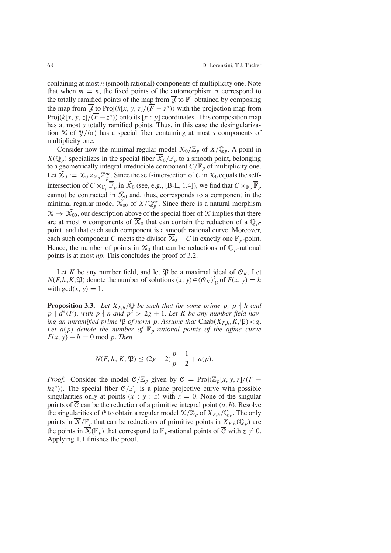containing at most *n* (smooth rational) components of multiplicity one. Note that when  $m = n$ , the fixed points of the automorphism  $\sigma$  correspond to the totally ramified points of the map from  $\overline{y}$  to  $\mathbb{P}^1$  obtained by composing the map from  $\overline{\mathcal{Y}}$  to Proj( $k[x, y, z]/(\overline{\overline{F}} - z^n)$ ) with the projection map from Proj( $k[x, y, z]/(\overline{F} - z^n)$ ) onto its [ $x : y$ ] coordinates. This composition map has at most *s* totally ramified points. Thus, in this case the desingularization  $\mathcal X$  of  $\mathcal Y/\langle \sigma \rangle$  has a special fiber containing at most *s* components of multiplicity one.

Consider now the minimal regular model  $\mathfrak{X}_0/\mathbb{Z}_p$  of  $X/\mathbb{Q}_p$ . A point in  $X(\mathbb{Q}_p)$  specializes in the special fiber  $\overline{X}_0/\mathbb{F}_p$  to a smooth point, belonging to a geometrically integral irreducible component  $C/F_p$  of multiplicity one. Let  $\tilde{X}_0 := \mathfrak{X}_0 \times_{\mathbb{Z}_p} \mathbb{Z}_p^{nr}$ . Since the self-intersection of *C* in  $\mathfrak{X}_0$  equals the selfintersection of  $C \times_{\mathbb{F}_p} \overline{\mathbb{F}}_p$  in  $\tilde{X}_0$  (see, e.g., [B-L, 1.4]), we find that  $C \times_{\mathbb{F}_p} \overline{\mathbb{F}}_p$ cannot be contracted in  $\tilde{X}_0$  and, thus, corresponds to a component in the minimal regular model  $\tilde{X}_{00}$  of  $X/\mathbb{Q}_p^m$ . Since there is a natural morphism  $\mathcal{X} \to \mathcal{X}_{00}$ , our description above of the special fiber of X implies that there are at most *n* components of  $\overline{X}_0$  that can contain the reduction of a  $\mathbb{Q}_p$ point, and that each such component is a smooth rational curve. Moreover, each such component *C* meets the divisor  $\overline{X}_0 - C$  in exactly one  $\mathbb{F}_p$ -point. Hence, the number of points in  $\overline{X}_0$  that can be reductions of  $\mathbb{Q}_p$ -rational points is at most *np*. This concludes the proof of 3.2.

Let *K* be any number field, and let  $\mathfrak{P}$  be a maximal ideal of  $\mathcal{O}_K$ . Let *N*(*F*,*h*,*K*, $\mathfrak{P}$ ) denote the number of solutions (*x*, *y*) ∈ ( $\mathcal{O}_K$ ) ${}_{\mathfrak{P} \mathfrak{P}}^2$  of  $F(x, y) = h$ with  $gcd(x, y) = 1$ .

**Proposition 3.3.** *Let*  $X_{F,h}/\mathbb{Q}$  *be such that for some prime p, p \ h and*  $p \mid d^*(F)$ , with  $p \nmid n$  and  $p^2 > 2g + 1$ . Let K be any number field hav*ing an unramified prime*  $\mathfrak{P}$  *of norm p. Assume that*  $Chab(X_{F,h}, K, \mathfrak{P}) < g$ . *Let*  $a(p)$  *denote the number of*  $\mathbb{F}_p$ -rational *points of the affine curve*  $F(x, y) - h = 0 \text{ mod } p$ . *Then* 

$$
N(F, h, K, \mathfrak{P}) \le (2g - 2)\frac{p - 1}{p - 2} + a(p).
$$

*Proof.* Consider the model  $C/\mathbb{Z}_p$  given by  $C = \text{Proj}(\mathbb{Z}_p[x, y, z]/(F$  $hz<sup>n</sup>$ )). The special fiber  $\overline{C}/\mathbb{F}_p$  is a plane projective curve with possible singularities only at points  $(x^2 : y : z)$  with  $z = 0$ . None of the singular points of  $\overline{c}$  can be the reduction of a primitive integral point  $(a, b)$ . Resolve the singularities of C to obtain a regular model  $\mathcal{X}/\mathbb{Z}_p$  of  $X_{F,h}/\mathbb{Q}_p$ . The only points in  $\overline{X}/\mathbb{F}_p$  that can be reductions of primitive points in  $X_{F,h}(\mathbb{Q}_p)$  are the points in  $\overline{\mathcal{X}}(\mathbb{F}_p)$  that correspond to  $\mathbb{F}_p$ -rational points of  $\overline{\mathcal{C}}$  with  $z \neq 0$ . Applying 1.1 finishes the proof.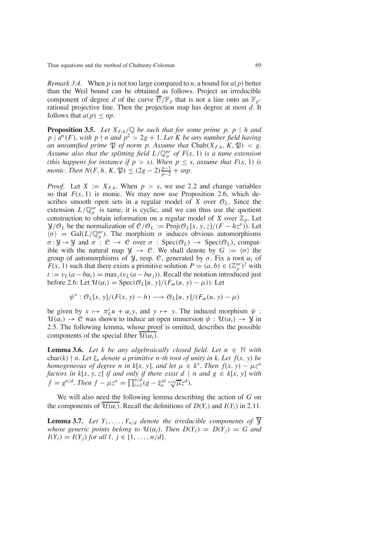*Remark* 3.4. When *p* is not too large compared to *n*, a bound for  $a(p)$  better than the Weil bound can be obtained as follows. Project an irreducible component of degree *d* of the curve  $\overline{C}/\mathbb{F}_p$  that is not a line onto an  $\mathbb{F}_p$ rational projective line. Then the projection map has degree at most *d*. It follows that  $a(p) \leq np$ .

**Proposition 3.5.** *Let*  $X_{F,h}/\mathbb{Q}$  *be such that for some prime p, p | h and p* |  $d^*(F)$ , *with*  $p \nmid n$  *and*  $p^2 > 2g + 1$ . Let *K be any number* field *having an unramified prime*  $\mathfrak{P}$  *of norm p. Assume that* Chab( $X_{F,h}$ ,  $K$ ,  $\mathfrak{P}$ ) < g. Assume also that the splitting field  $L/\mathbb{Q}_p^{nr}$  of  $F(x, 1)$  is a tame extension *(this happens for instance if*  $p > s$ *). When*  $p \leq s$ *, assume that*  $F(x, 1)$  *is monic. Then*  $N(F, h, K, \mathfrak{P}) \le (2g - 2)\frac{p-1}{p-2} + snp$ .

*Proof.* Let  $X := X_{F,h}$ . When  $p > s$ , we use 2.2 and change variables so that  $F(x, 1)$  is monic. We may now use Proposition 2.6, which describes smooth open sets in a regular model of *X* over  $\mathcal{O}_L$ . Since the extension  $L/\mathbb{Q}_p^{nr}$  is tame, it is cyclic, and we can thus use the quotient construction to obtain information on a regular model of *X* over  $\mathbb{Z}_p$ . Let  $\mathcal{Y}/\mathcal{O}_L$  be the normalization of  $\mathcal{C}/\mathcal{O}_L := \text{Proj}(\mathcal{O}_L[x, y, z]/(F - h z^n))$ . Let  $\langle \sigma \rangle = \text{Gal}(L/\mathbb{Q}_p^{nr})$ . The morphism  $\sigma$  induces obvious automorphisms  $\sigma: \mathcal{Y} \to \mathcal{Y}$  and  $\sigma : \mathcal{C} \to \mathcal{C}$  over  $\sigma : \text{Spec}(\mathcal{O}_L) \to \text{Spec}(\mathcal{O}_L)$ , compatible with the natural map  $\mathcal{Y} \to \mathcal{C}$ . We shall denote by  $G := \langle \sigma \rangle$  the group of automorphisms of *y*, resp. *C*, generated by *σ*. Fix a root  $α<sub>i</sub>$  of *F*(*x*, 1) such that there exists a primitive solution  $P = (a, b) \in (\mathbb{Z}_p^{nr})^2$  with  $t := v_L(a - b\alpha_i) = \max_j(v_L(a - b\alpha_j))$ . Recall the notation introduced just before 2.6: Let  $\mathcal{U}(\alpha_i) = \text{Spec}(\mathcal{O}_L[u, y]/(F_m(u, y) - \mu))$ . Let

$$
\psi^* : \mathcal{O}_L[x, y]/(F(x, y) - h) \longrightarrow \mathcal{O}_L[u, y]/(F_m(u, y) - \mu)
$$

be given by  $x \mapsto \pi_L^t u + \alpha_i y$ , and  $y \mapsto y$ . The induced morphism  $\psi$ :  $\mathcal{U}(\alpha_i) \to \mathcal{C}$  was shown to induce an open immersion  $\psi : \mathcal{U}(\alpha_i) \to \mathcal{Y}$  in 2.5. The following lemma, whose proof is omitted, describes the possible components of the special fiber  $\overline{\mathcal{U}(\alpha_i)}$ .

**Lemma 3.6.** *Let k be any algebraically closed field. Let*  $n \in \mathbb{N}$  *with* char(*k*)  $\nmid n$ . Let  $\xi_n$  denote a primitive *n*-th root of unity in *k*. Let  $f(x, y)$  be *homogeneous of degree n in*  $k[x, y]$ *, and let*  $\mu \in k^*$ *. Then*  $f(x, y) - \mu z^n$ *factors in*  $k[x, y, z]$  *if and only if there exist d* | *n and*  $g \in k[x, y]$  *with*  $f = g^{n/d}$ . *Then*  $f - \mu z^n = \prod_{i=1}^{n/d} (g - \xi_n^{id} n/d\pi z^d)$ .

We will also need the following lemma describing the action of *G* on the components of  $\mathcal{U}(\alpha_i)$ . Recall the definitions of  $D(Y_i)$  and  $I(Y_i)$  in 2.11.

**Lemma 3.7.** Let  $Y_1, \ldots, Y_{n/d}$  denote the *irreducible components of*  $\overline{Y}$ *whose* generic points belong to  $\mathcal{U}(\alpha_i)$ *. Then*  $D(Y_\ell) = D(Y_i) = G$  and  $I(Y_{\ell}) = I(Y_j)$  *for all*  $\ell, j \in \{1, ..., n/d\}.$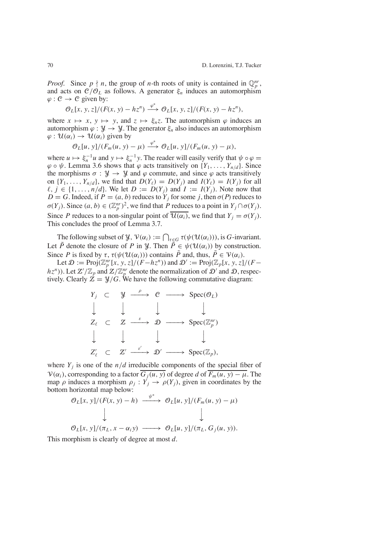*Proof.* Since  $p \nmid n$ , the group of *n*-th roots of unity is contained in  $\mathbb{Q}_p^{nr}$ , and acts on  $C/O_L$  as follows. A generator  $\xi_n$  induces an automorphism  $\varphi : \mathcal{C} \to \mathcal{C}$  given by:

$$
\mathcal{O}_L[x, y, z]/(F(x, y) - h z^n) \xrightarrow{\varphi^*} \mathcal{O}_L[x, y, z]/(F(x, y) - h z^n),
$$

where  $x \mapsto x$ ,  $y \mapsto y$ , and  $z \mapsto \xi_n z$ . The automorphism  $\varphi$  induces an automorphism  $\varphi : \mathcal{Y} \to \mathcal{Y}$ . The generator  $\xi_n$  also induces an automorphism  $\varphi: \mathcal{U}(\alpha_i) \to \mathcal{U}(\alpha_i)$  given by

$$
\mathcal{O}_L[u, y]/(F_m(u, y) - \mu) \xrightarrow{\varphi^*} \mathcal{O}_L[u, y]/(F_m(u, y) - \mu),
$$

where  $u \mapsto \xi_n^{-1}u$  and  $y \mapsto \xi_n^{-1}y$ . The reader will easily verify that  $\psi \circ \varphi =$  $\varphi \circ \psi$ . Lemma 3.6 shows that  $\varphi$  acts transitively on  $\{Y_1, \ldots, Y_{n/d}\}$ . Since the morphisms  $\sigma : \mathcal{Y} \to \mathcal{Y}$  and  $\varphi$  commute, and since  $\varphi$  acts transitively on  $\{Y_1, \ldots, Y_{n/d}\}$ , we find that  $D(Y_\ell) = D(Y_i)$  and  $I(Y_\ell) = I(Y_i)$  for all  $\ell, j \in \{1, \ldots, n/d\}$ . We let  $D := D(Y_i)$  and  $I := I(Y_i)$ . Note now that  $D = G$ . Indeed, if  $P = (a, b)$  reduces to  $Y_i$  for some *j*, then  $\sigma(P)$  reduces to  $\sigma(Y_j)$ . Since  $(a, b) \in (\mathbb{Z}_p^{nr})^2$ , we find that *P* reduces to a point in  $Y_j \cap \sigma(Y_j)$ . Since *P* reduces to a non-singular point of  $\overline{\mathcal{U}(\alpha_i)}$ , we find that  $Y_i = \sigma(Y_i)$ . This concludes the proof of Lemma 3.7.

The following subset of  $\mathcal{Y}, \mathcal{V}(\alpha_i) := \bigcap_{\tau \in G} \tau(\psi(\mathcal{U}(\alpha_i))),$  is *G*-invariant. Let  $\tilde{P}$  denote the closure of *P* in *Y*. Then  $\tilde{P} \in \psi(\mathcal{U}(\alpha_i))$  by construction. Since *P* is fixed by  $\tau$ ,  $\tau(\psi(\mathcal{U}(\alpha_i)))$  contains *P* and, thus,  $P \in \mathcal{V}(\alpha_i)$ .

Let  $\mathcal{D} := \text{Proj}(\mathbb{Z}_p^{nr}[x, y, z]/(F - hz^n))$  and  $\mathcal{D}' := \text{Proj}(\mathbb{Z}_p[x, y, z]/(F - hz^n))$  $(hz^n)$ ). Let  $Z'/\mathbb{Z}_p$  and  $Z/\mathbb{Z}_p^{nr}$  denote the normalization of  $\mathcal{D}'$  and  $\mathcal{D}$ , respectively. Clearly  $\mathcal{Z} = \mathcal{Y}/G$ . We have the following commutative diagram:



where  $Y_j$  is one of the  $n/d$  irreducible components of the special fiber of  $V(\alpha_i)$ , corresponding to a factor  $G_j(u, y)$  of degree *d* of  $F_m(u, y) - \mu$ . The map  $\rho$  induces a morphism  $\rho_j : Y_j \to \rho(Y_j)$ , given in coordinates by the bottom horizontal map below:

$$
\mathcal{O}_L[x, y]/(F(x, y) - h) \xrightarrow{\psi^*} \mathcal{O}_L[u, y]/(F_m(u, y) - \mu)
$$
  

$$
\downarrow \qquad \qquad \downarrow
$$
  

$$
\mathcal{O}_L[x, y]/(\pi_L, x - \alpha_i y) \longrightarrow \mathcal{O}_L[u, y]/(\pi_L, G_j(u, y)).
$$

This morphism is clearly of degree at most *d*.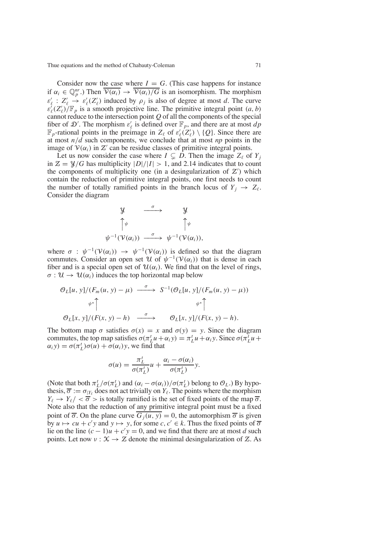Consider now the case where  $I = G$ . (This case happens for instance if  $\alpha_i \in \mathbb{Q}_p^{nr}$ .) Then  $\overline{\mathcal{V}(\alpha_i)} \to \overline{\mathcal{V}(\alpha_i)/G}$  is an isomorphism. The morphism  $\varepsilon'_{\ell}: Z'_{\ell} \to \varepsilon'_{\ell}(Z'_{\ell})$  induced by  $\rho_j$  is also of degree at most *d*. The curve  $\varepsilon_{\ell}'(Z_{\ell}')/\mathbb{F}_p$  is a smooth projective line. The primitive integral point  $(a, b)$ cannot reduce to the intersection point *Q* of all the components of the special fiber of D'. The morphism  $\varepsilon'_{\ell}$  is defined over  $\mathbb{F}_p$ , and there are at most  $dp$  $\mathbb{F}_p$ -rational points in the preimage in  $Z_\ell$  of  $\varepsilon'_\ell(Z'_\ell) \setminus \{Q\}$ . Since there are at most *n*/*d* such components, we conclude that at most *np* points in the image of  $V(\alpha_i)$  in  $Z'$  can be residue classes of primitive integral points.

Let us now consider the case where  $I \subseteq D$ . Then the image  $Z_{\ell}$  of  $Y_i$ in  $\mathcal{Z} = \mathcal{Y}/G$  has multiplicity  $|D|/|I| > 1$ , and 2.14 indicates that to count the components of multiplicity one (in a desingularization of  $Z'$ ) which contain the reduction of primitive integral points, one first needs to count the number of totally ramified points in the branch locus of  $Y_i \rightarrow Z_\ell$ . Consider the diagram



where  $\sigma$  :  $\psi^{-1}(\mathcal{V}(\alpha_i)) \rightarrow \psi^{-1}(\mathcal{V}(\alpha_i))$  is defined so that the diagram commutes. Consider an open set U of  $\psi^{-1}(\mathcal{V}(\alpha_i))$  that is dense in each fiber and is a special open set of  $\mathcal{U}(\alpha_i)$ . We find that on the level of rings,  $\sigma: \mathcal{U} \to \mathcal{U}(\alpha_i)$  induces the top horizontal map below

$$
\mathcal{O}_L[u, y]/(F_m(u, y) - \mu) \xrightarrow{\sigma} S^{-1}(\mathcal{O}_L[u, y]/(F_m(u, y) - \mu))
$$
  
\n
$$
\psi^* \uparrow \qquad \qquad \psi^* \uparrow
$$
  
\n
$$
\mathcal{O}_L[x, y]/(F(x, y) - h) \xrightarrow{\sigma} \qquad \mathcal{O}_L[x, y]/(F(x, y) - h).
$$

The bottom map  $\sigma$  satisfies  $\sigma(x) = x$  and  $\sigma(y) = y$ . Since the diagram commutes, the top map satisfies  $\sigma(\pi_L^t u + \alpha_i y) = \pi_L^t u + \alpha_i y$ . Since  $\sigma(\pi_L^t u + \pi_i y)$  $\alpha_i y$ ) =  $\sigma(\pi_L^t)\sigma(u) + \sigma(\alpha_i)y$ , we find that

$$
\sigma(u) = \frac{\pi_L^t}{\sigma(\pi_L^t)} u + \frac{\alpha_i - \sigma(\alpha_i)}{\sigma(\pi_L^t)} y.
$$

(Note that both  $\pi_L^t/\sigma(\pi_L^t)$  and  $(\alpha_i - \sigma(\alpha_i))/\sigma(\pi_L^t)$  belong to  $\mathcal{O}_L$ .) By hypothesis,  $\overline{\sigma} := \sigma_{|Y_{\ell}|}$  does not act trivially on  $Y_{\ell}$ . The points where the morphism  $Y_{\ell} \rightarrow Y_{\ell}/\langle \sigma \rangle$  is totally ramified is the set of fixed points of the map  $\overline{\sigma}$ . Note also that the reduction of any primitive integral point must be a fixed point of  $\overline{\sigma}$ . On the plane curve  $\overline{G_i(u, v)} = 0$ , the automorphism  $\overline{\sigma}$  is given by  $u \mapsto cu + c'y$  and  $y \mapsto y$ , for some *c*,  $c' \in k$ . Thus the fixed points of  $\overline{\sigma}$ lie on the line  $(c - 1)u + c'y = 0$ , and we find that there are at most *d* such points. Let now  $v : \mathcal{X} \to \mathcal{Z}$  denote the minimal desingularization of  $\mathcal{Z}$ . As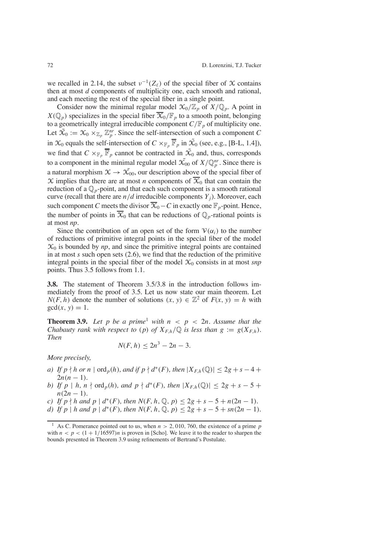we recalled in 2.14, the subset  $v^{-1}(Z_\ell)$  of the special fiber of X contains then at most *d* components of multiplicity one, each smooth and rational, and each meeting the rest of the special fiber in a single point.

Consider now the minimal regular model  $\mathfrak{X}_0/\mathbb{Z}_p$  of  $X/\mathbb{Q}_p$ . A point in  $X(\mathbb{Q}_p)$  specializes in the special fiber  $\overline{X}_0/\mathbb{F}_p$  to a smooth point, belonging to a geometrically integral irreducible component  $C/F_p$  of multiplicity one. Let  $\mathfrak{X}_0 := \mathfrak{X}_0 \times_{\mathbb{Z}_p} \mathbb{Z}_p^{nr}$ . Since the self-intersection of such a component *C* in  $\mathcal{X}_0$  equals the self-intersection of  $C \times_{\mathbb{F}_p} \overline{\mathbb{F}}_p$  in  $\tilde{\mathcal{X}}_0$  (see, e.g., [B-L, 1.4]), we find that  $C \times_{\mathbb{F}_p} \overline{\mathbb{F}}_p$  cannot be contracted in  $\tilde{X}_0$  and, thus, corresponds to a component in the minimal regular model  $\tilde{X}_{00}$  of  $X/\mathbb{Q}_p^m$ . Since there is a natural morphism  $\mathcal{X} \to \mathcal{X}_{00}$ , our description above of the special fiber of  $\chi$  implies that there are at most *n* components of  $\overline{\chi}_{0}$  that can contain the reduction of a  $\mathbb{Q}_p$ -point, and that each such component is a smooth rational curve (recall that there are  $n/d$  irreducible components  $Y_i$ ). Moreover, each such component *C* meets the divisor  $\overline{X}_0 - C$  in exactly one  $\mathbb{F}_p$ -point. Hence, the number of points in  $\overline{X}_0$  that can be reductions of  $\mathbb{Q}_p$ -rational points is at most *np*.

Since the contribution of an open set of the form  $V(\alpha_i)$  to the number of reductions of primitive integral points in the special fiber of the model  $\mathcal{X}_0$  is bounded by  $np$ , and since the primitive integral points are contained in at most *s* such open sets (2.6), we find that the reduction of the primitive integral points in the special fiber of the model  $\mathcal{X}_0$  consists in at most *snp* points. Thus 3.5 follows from 1.1.

**3.8.** The statement of Theorem 3.5/3.8 in the introduction follows immediately from the proof of 3.5. Let us now state our main theorem. Let *N*(*F*, *h*) denote the number of solutions (*x*, *y*)  $\in \mathbb{Z}^2$  of  $F(x, y) = h$  with  $gcd(x, y) = 1$ .

**Theorem 3.9.** *Let p be a prime*<sup>1</sup> *with*  $n < p < 2n$ *. Assume that the Chabauty rank with respect to* (*p*) *of*  $X_{F,h}/\mathbb{Q}$  *is less than*  $g := g(X_{F,h})$ *. Then*

$$
N(F,h)\leq 2n^3-2n-3.
$$

*More precisely,*

- *a) If*  $p \nmid h$  *or*  $n \mid \text{ord}_p(h)$ *, and if*  $p \nmid d^*(F)$ *, then*  $|X_{F,h}(\mathbb{Q})| \leq 2g + s 4 +$  $2n(n-1)$ .
- *b) If*  $p | h, n \nmid \text{ord}_p(h),$  *and*  $p \nmid d^*(F)$ *, then*  $|X_{F,h}(\mathbb{Q})| \leq 2g + s 5 + 1$  $n(2n - 1)$ .
- *c) If*  $p \nmid h$  *and*  $p \mid d^*(F)$ *, then*  $N(F, h, \mathbb{Q}, p) \leq 2g + s 5 + n(2n 1)$ *.*
- *d) If*  $p \mid h$  *and*  $p \mid d^*(F)$ *, then*  $N(F, h, \mathbb{Q}, p) \leq 2g + s 5 + sn(2n 1)$ *.*

<sup>&</sup>lt;sup>1</sup> As C. Pomerance pointed out to us, when  $n > 2$ , 010, 760, the existence of a prime *p* with  $n < p < (1 + 1/16597)n$  is proven in [Scho]. We leave it to the reader to sharpen the bounds presented in Theorem 3.9 using refinements of Bertrand's Postulate.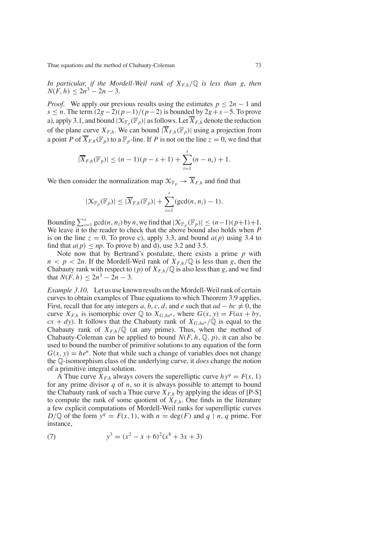*In* particular, if the Mordell-Weil rank of  $X_{F,h}/\mathbb{Q}$  is less than *g*, then  $N(F, h) < 2n^3 - 2n - 3$ .

*Proof.* We apply our previous results using the estimates  $p \le 2n - 1$  and *s* ≤ *n*. The term  $\frac{2g-2}{p-1}$   $\frac{p-1}{p-2}$  is bounded by  $\frac{2g+s-5}{p-5}$ . To prove a), apply 3.1, and bound  $|\mathcal{X}_{\mathbb{F}_p}(\mathbb{F}_p)|$  as follows. Let  $\overline{X}_{F,h}$  denote the reduction of the plane curve  $X_{F,h}$ . We can bound  $|\overline{X}_{F,h}(\mathbb{F}_p)|$  using a projection from a point *P* of  $\overline{X}_{F,h}(\mathbb{F}_p)$  to a  $\mathbb{F}_p$ -line. If *P* is not on the line  $z = 0$ , we find that

$$
|\overline{X}_{F,h}(\mathbb{F}_p)| \le (n-1)(p-s+1) + \sum_{i=1}^s (n-n_i) + 1.
$$

We then consider the normalization map  $\mathcal{X}_{\mathbb{F}_p} \to \overline{X}_{F,h}$  and find that

$$
|\mathcal{X}_{\mathbb{F}_p}(\mathbb{F}_p)| \leq |\overline{X}_{F,h}(\mathbb{F}_p)| + \sum_{i=1}^s (\gcd(n, n_i) - 1).
$$

Bounding  $\sum_{i=1}^s \gcd(n, n_i)$  by *n*, we find that  $|\mathcal{X}_{\mathbb{F}_p}(\mathbb{F}_p)| \leq (n-1)(p+1)+1$ . We leave it to the reader to check that the above bound also holds when *P* is on the line  $z = 0$ . To prove c), apply 3.3, and bound  $a(p)$  using 3.4 to find that  $a(p) \leq np$ . To prove b) and d), use 3.2 and 3.5.

Note now that by Bertrand's postulate, there exists a prime *p* with  $n < p < 2n$ . If the Mordell-Weil rank of  $X_{F,h}/\mathbb{Q}$  is less than *g*, then the Chabauty rank with respect to (p) of  $X_{F,h}/\mathbb{Q}$  is also less than g, and we find that  $N(F, h) \leq 2n^3 - 2n - 3$ .

*Example* 3.10. Let us use known results on the Mordell-Weil rank of certain curves to obtain examples of Thue equations to which Theorem 3.9 applies. First, recall that for any integers *a*, *b*, *c*, *d*, and *e* such that  $ad - bc \neq 0$ , the curve  $X_{F,h}$  is isomorphic over  $\mathbb{Q}$  to  $X_{G,he^n}$ , where  $G(x, y) = F(ax + by$ ,  $cx + dy$ ). It follows that the Chabauty rank of  $X_{G,he^n}/\mathbb{Q}$  is equal to the Chabauty rank of  $X_{F,h}/\mathbb{Q}$  (at any prime). Thus, when the method of Chabauty-Coleman can be applied to bound  $N(F, h, \mathbb{Q}, p)$ , it can also be used to bound the number of primitive solutions to any equation of the form  $G(x, y) = he^n$ . Note that while such a change of variables does not change the Q-isomorphism class of the underlying curve, it *does* change the notion of a primitive integral solution.

A Thue curve  $X_{F,h}$  always covers the superelliptic curve  $hy^q = F(x, 1)$ for any prime divisor  $q$  of  $n$ , so it is always possible to attempt to bound the Chabauty rank of such a Thue curve  $X_{F,h}$  by applying the ideas of [P-S] to compute the rank of some quotient of  $X_{F,h}$ . One finds in the literature a few explicit computations of Mordell-Weil ranks for superelliptic curves  $D/\mathbb{Q}$  of the form  $y^q = F(x, 1)$ , with  $n = \deg(F)$  and  $q \mid n, q$  prime. For instance,

(7) 
$$
y^3 = (x^2 - x + 6)^2 (x^8 + 3x + 3)
$$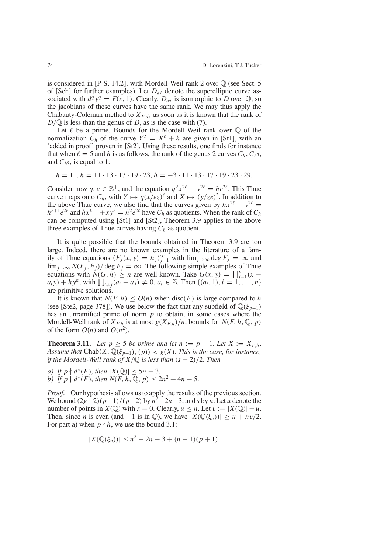is considered in  $[P-S, 14.2]$ , with Mordell-Weil rank 2 over  $\mathbb Q$  (see Sect. 5) of [Sch] for further examples). Let  $D_{dq}$  denote the superelliptic curve associated with  $d^q y^q = F(x, 1)$ . Clearly,  $D_{d}$  is isomorphic to *D* over  $\mathbb{Q}$ , so the jacobians of these curves have the same rank. We may thus apply the Chabauty-Coleman method to  $X_{F, d}$ <sup>*q*</sup> as soon as it is known that the rank of *D*/ $\mathbb Q$  is less than the genus of *D*, as is the case with (7).

Let  $\ell$  be a prime. Bounds for the Mordell-Weil rank over  $\mathbb Q$  of the normalization  $\hat{C}_h$  of the curve  $Y^2 = X^{\ell} + h$  are given in [St1], with an 'added in proof' proven in [St2]. Using these results, one finds for instance that when  $\ell = 5$  and h is as follows, the rank of the genus 2 curves  $C_h$ ,  $C_h$ <sup>5</sup>, and  $C_{h^9}$ , is equal to 1:

$$
h = 11, h = 11 \cdot 13 \cdot 17 \cdot 19 \cdot 23, h = -3 \cdot 11 \cdot 13 \cdot 17 \cdot 19 \cdot 23 \cdot 29.
$$

Consider now  $q, e \in \mathbb{Z}^+$ , and the equation  $q^2x^{2\ell} - y^{2\ell} = he^{2\ell}$ . This Thue curve maps onto  $C_h$ , with  $Y \mapsto q(x/ez)^{\ell}$  and  $X \mapsto (y/ze)^2$ . In addition to the above Thue curve, we also find that the curves given by  $hx^{2\ell} - y^{2\ell} =$  $h^{\ell+1}e^{2\ell}$  and  $hx^{\ell+1}+xy^{\ell}=h^2e^{2\ell}$  have  $C_h$  as quotients. When the rank of  $C_h$ can be computed using [St1] and [St2], Theorem 3.9 applies to the above three examples of Thue curves having  $C_h$  as quotient.

It is quite possible that the bounds obtained in Theorem 3.9 are too large. Indeed, there are no known examples in the literature of a family of Thue equations  $(F_j(x, y) = h_j)_{j=1}^{\infty}$  with  $\lim_{j\to\infty} \deg F_j = \infty$  and lim<sub>*j*→∞</sub>  $N(F_i, h_j)$  deg  $\overline{F}_i = \infty$ . The following simple examples of Thue equations with  $N(G, h) \ge n$  are well-known. Take  $G(x, y) = \prod_{i=1}^{n} (x$  $a_i y$ ) + *hy<sup>n</sup>*, with  $\prod_{i \neq j} (a_i - a_j) \neq 0$ ,  $a_i \in \mathbb{Z}$ . Then  $\{(a_i, 1), i = 1, ..., n\}$ are primitive solutions.

It is known that  $N(F, h) \leq O(n)$  when disc(*F*) is large compared to *h* (see [Ste2, page 378]). We use below the fact that any subfield of  $\mathbb{Q}(\xi_{p-1})$ has an unramified prime of norm *p* to obtain, in some cases where the Mordell-Weil rank of  $X_{F,h}$  is at most  $g(X_{F,h})/n$ , bounds for  $N(F, h, \mathbb{Q}, p)$ of the form  $O(n)$  and  $O(n^2)$ .

**Theorem 3.11.** *Let*  $p \ge 5$  *be prime and let*  $n := p - 1$ *. Let*  $X := X_{F,h}$ *. Assume that*  $Chab(X, \mathbb{Q}(\xi_{p-1}), (p)) < g(X)$ *. This is the case, for instance, if* the Mordell-Weil rank of  $X/\mathbb{Q}$  is less than  $(s-2)/2$ *. Then* 

*a) If*  $p \nmid d^*(F)$ *, then*  $|X(\mathbb{Q})| \le 5n - 3$ *. b*) *If*  $p \mid d^*(F)$ , *then*  $N(F, h, \mathbb{Q}, p) \leq 2n^2 + 4n - 5$ .

*Proof.* Our hypothesis allows us to apply the results of the previous section. We bound  $\frac{2g-2}{p-1}$  $\frac{p-1}{p-2}$  by  $n^2-2n-3$ , and *s* by *n*. Let *u* denote the number of points in *X*( $\mathbb{Q}$ ) with  $z = 0$ . Clearly,  $u \le n$ . Let  $v := |X(\mathbb{Q})| - u$ . Then, since *n* is even (and  $-1$  is in  $\mathbb{Q}$ ), we have  $|X(\mathbb{Q}(\xi_n))| \geq u + nv/2$ . For part a) when  $p \nmid h$ , we use the bound 3.1:

$$
|X(\mathbb{Q}(\xi_n))| \le n^2 - 2n - 3 + (n - 1)(p + 1).
$$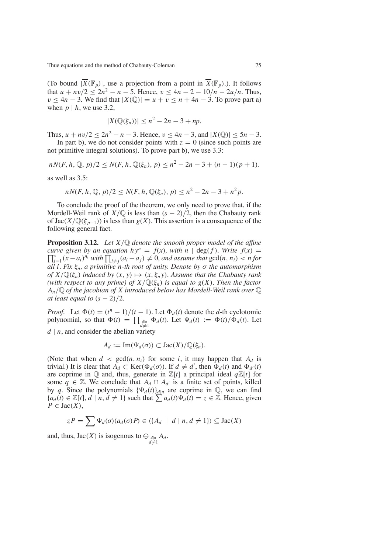(To bound  $|\overline{X}(\mathbb{F}_p)|$ , use a projection from a point in  $\overline{X}(\mathbb{F}_p)$ .). It follows that  $u + nv/2 \le 2n^2 - n - 5$ . Hence,  $v \le 4n - 2 - 10/n - 2u/n$ . Thus,  $v \leq 4n - 3$ . We find that  $|X(\mathbb{Q})| = u + v \leq n + 4n - 3$ . To prove part a) when  $p \mid h$ , we use 3.2,

$$
|X(\mathbb{Q}(\xi_n))| \le n^2 - 2n - 3 + np.
$$

Thus,  $u + nv/2 \le 2n^2 - n - 3$ . Hence,  $v \le 4n - 3$ , and  $|X(\mathbb{Q})| \le 5n - 3$ .

In part b), we do not consider points with  $z = 0$  (since such points are not primitive integral solutions). To prove part b), we use 3.3:

$$
nN(F, h, \mathbb{Q}, p)/2 \le N(F, h, \mathbb{Q}(\xi_n), p) \le n^2 - 2n - 3 + (n - 1)(p + 1).
$$

as well as 3.5:

$$
nN(F, h, \mathbb{Q}, p)/2 \leq N(F, h, \mathbb{Q}(\xi_n), p) \leq n^2 - 2n - 3 + n^2p.
$$

To conclude the proof of the theorem, we only need to prove that, if the Mordell-Weil rank of  $X/\mathbb{Q}$  is less than  $(s - 2)/2$ , then the Chabauty rank of  $Jac(X/\mathbb{Q}(\xi_{p-1}))$  is less than  $g(X)$ . This assertion is a consequence of the following general fact.

**Proposition 3.12.** *Let X*/Q *denote the smooth proper model of the affine curve given by an equation*  $h y^n = f(x)$ *, with*  $n \mid \deg(f)$ *. Write*  $f(x) = \prod_{i=1}^s (x - a_i)^{n_i}$  *with*  $\prod_{i \neq j} (a_i - a_j) \neq 0$ *, and assume that*  $gcd(n, n_i) < n$  *for i*=<sub>1</sub>( $x - a_i$ )<sup>*ni*</sup> *with*  $\prod_{i \neq j} (a_i - a_j) \neq 0$ , *and assume that* gcd(*n*, *n<sub>i</sub>*) < *n for all i. Fix* ξ*n, a primitive n-th root of unity. Denote by* σ *the automorphism of*  $X/\mathbb{Q}(\xi_n)$  *induced by*  $(x, y) \mapsto (x, \xi_n y)$ *. Assume that the Chabauty rank (with respect to any prime) of*  $X/\mathbb{Q}(\xi_n)$  *is equal to*  $g(X)$ *. Then the factor An* /Q *of the jacobian of X introduced below has Mordell-Weil rank over* Q *at least equal to*  $(s - 2)/2$ *.* 

*Proof.* Let  $\Phi(t) = (t^n - 1)/(t - 1)$ . Let  $\Phi_d(t)$  denote the *d*-th cyclotomic polynomial, so that  $\Phi(t) = \prod_{\substack{d|n \ d \neq 1}} \Phi_d(t)$ . Let  $\Psi_d(t) := \Phi(t)/\Phi_d(t)$ . Let *d* | *n*, and consider the abelian variety

$$
A_d := \operatorname{Im}(\Psi_d(\sigma)) \subset \operatorname{Jac}(X)/\mathbb{Q}(\xi_n).
$$

(Note that when  $d < \gcd(n, n_i)$  for some *i*, it may happen that  $A_d$  is trivial.) It is clear that  $A_d \subset \text{Ker}(\Phi_d(\sigma))$ . If  $d \neq d'$ , then  $\Phi_d(t)$  and  $\Phi_{d'}(t)$ are coprime in  $\mathbb Q$  and, thus, generate in  $\mathbb Z[t]$  a principal ideal  $q\mathbb Z[t]$  for some *q* ∈  $\mathbb{Z}$ . We conclude that  $A_d \cap A_{d'}$  is a finite set of points, killed by *q*. Since the polynomials  ${\Psi_d(t)}_{d|n}$  are coprime in  $\mathbb{Q}$ , we can find  ${a_d(t) \in \mathbb{Z}[t], d \mid n, d \neq 1}$  such that  $\sum a_d(t)\Psi_d(t) = z \in \mathbb{Z}$ . Hence, given  $P \in \text{Jac}(X)$ ,

$$
zP = \sum \Psi_d(\sigma)(a_d(\sigma)P) \in \langle \{A_d \mid d \mid n, d \neq 1\} \rangle \subseteq \text{Jac}(X)
$$

and, thus,  $Jac(X)$  is isogenous to  $\bigoplus_{\substack{d|n \ d \neq 1}}$  $A_d$ .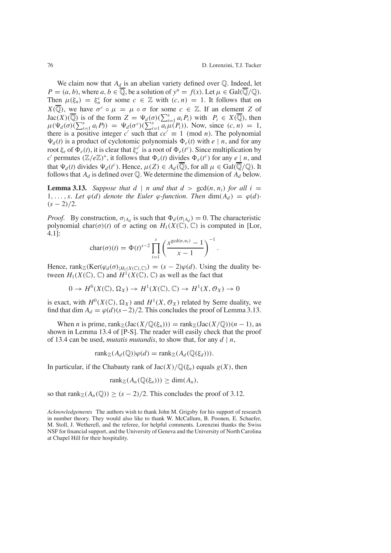.

We claim now that  $A_d$  is an abelian variety defined over  $\mathbb Q$ . Indeed, let  $P = (a, b)$ , where  $a, b \in \overline{\mathbb{Q}}$ , be a solution of  $y^n = f(x)$ . Let  $\mu \in \text{Gal}(\overline{\mathbb{Q}}/\mathbb{Q})$ . Then  $\mu(\xi_n) = \xi_n^c$  for some  $c \in \mathbb{Z}$  with  $(c, n) = 1$ . It follows that on  $X(\overline{\mathbb{Q}})$ , we have  $\sigma^c \circ \mu = \mu \circ \sigma$  for some  $c \in \mathbb{Z}$ . If an element *Z* of  $Jac(X)(\overline{Q})$  is of the form  $Z = \Psi_d(\sigma)(\sum_{i=1}^s a_i P_i)$  with  $P_i \in X(\overline{Q})$ , then  $\mu(\Psi_d(\sigma)(\sum_{i=1}^s a_i P)) = \Psi_d(\sigma^c)(\sum_{i=1}^s a_i \mu(P_i))$ . Now, since  $(c, n) = 1$ , there is a positive integer *c*' such that  $cc' \equiv 1 \pmod{n}$ . The polynomial  $\Psi_d(t)$  is a product of cyclotomic polynomials  $\Phi_e(t)$  with  $e \mid n$ , and for any root  $\xi_e$  of  $\Phi_e(t)$ , it is clear that  $\xi_e^{c'}$  is a root of  $\Phi_e(t^c)$ . Since multiplication by *c*' permutes  $(\mathbb{Z}/e\mathbb{Z})^*$ , it follows that  $\Phi_e(t)$  divides  $\Phi_e(t^c)$  for any  $e \cdot \underline{\hspace{0.2cm}} n$ , and that  $\Psi_d(t)$  divides  $\Psi_d(t^c)$ . Hence,  $\mu(Z) \in A_d(\overline{\mathbb{Q}})$ , for all  $\mu \in \text{Gal}(\overline{\mathbb{Q}}/\mathbb{Q})$ . It follows that  $A_d$  is defined over  $\mathbb Q$ . We determine the dimension of  $A_d$  below.

**Lemma** 3.13. *Suppose that*  $d \mid n$  *and that*  $d > \gcd(n, n_i)$  *for all*  $i =$ 1,..., *s.* Let  $\varphi(d)$  denote the Euler  $\varphi$ -function. Then  $\dim(A_d) = \varphi(d)$ ·  $(s - 2)/2$ .

*Proof.* By construction,  $\sigma_{A_d}$  is such that  $\Phi_d(\sigma_{A_d}) = 0$ . The characteristic polynomial char( $\sigma$ )(*t*) of  $\sigma$  acting on  $H_1(X(\mathbb{C}), \mathbb{C})$  is computed in [Lor, 4.1]:

$$
char(\sigma)(t) = \Phi(t)^{s-2} \prod_{i=1}^{s} \left( \frac{x^{\gcd(n, n_i)} - 1}{x - 1} \right)^{-1}
$$

Hence, rank<sub>Z</sub>(Ker( $\varphi_d(\sigma)_{|H_1(X(\mathbb{C}),\mathbb{C})}$ ) = (*s* – 2) $\varphi(d)$ . Using the duality between  $H_1(X(\mathbb{C}), \mathbb{C})$  and  $H^1(X(\mathbb{C}), \mathbb{C})$  as well as the fact that

$$
0 \to H^0(X(\mathbb{C}), \Omega_X) \to H^1(X(\mathbb{C}), \mathbb{C}) \to H^1(X, \mathcal{O}_X) \to 0
$$

is exact, with  $H^0(X(\mathbb{C}), \Omega_X)$  and  $H^1(X, \mathcal{O}_X)$  related by Serre duality, we find that dim  $A_d = \varphi(d)(s-2)/2$ . This concludes the proof of Lemma 3.13.

When *n* is prime, rank<sub> $\mathbb{Z}(\text{Jac}(X/\mathbb{Q}(\xi_n))) = \text{rank}_{\mathbb{Z}}(\text{Jac}(X/\mathbb{Q}))(n-1)$ , as</sub> shown in Lemma 13.4 of [P-S]. The reader will easily check that the proof of 13.4 can be used, *mutatis mutandis*, to show that, for any *d* | *n*,

$$
rank_{\mathbb{Z}}(A_d(\mathbb{Q}))\varphi(d) = rank_{\mathbb{Z}}(A_d(\mathbb{Q}(\xi_d))).
$$

In particular, if the Chabauty rank of  $Jac(X)/\mathbb{Q}(\xi_n)$  equals  $g(X)$ , then

$$
rank_{\mathbb{Z}}(A_n(\mathbb{Q}(\xi_n))) \geq \dim(A_n),
$$

so that rank $\mathbb{Z}(A_n(\mathbb{Q})) \ge (s-2)/2$ . This concludes the proof of 3.12.

*Acknowledgements* The authors wish to thank John M. Grigsby for his support of research in number theory. They would also like to thank W. McCallum, B. Poonen, E. Schaefer, M. Stoll, J. Wetherell, and the referee, for helpful comments. Lorenzini thanks the Swiss NSF for financial support, and the University of Geneva and the University of North Carolina at Chapel Hill for their hospitality.